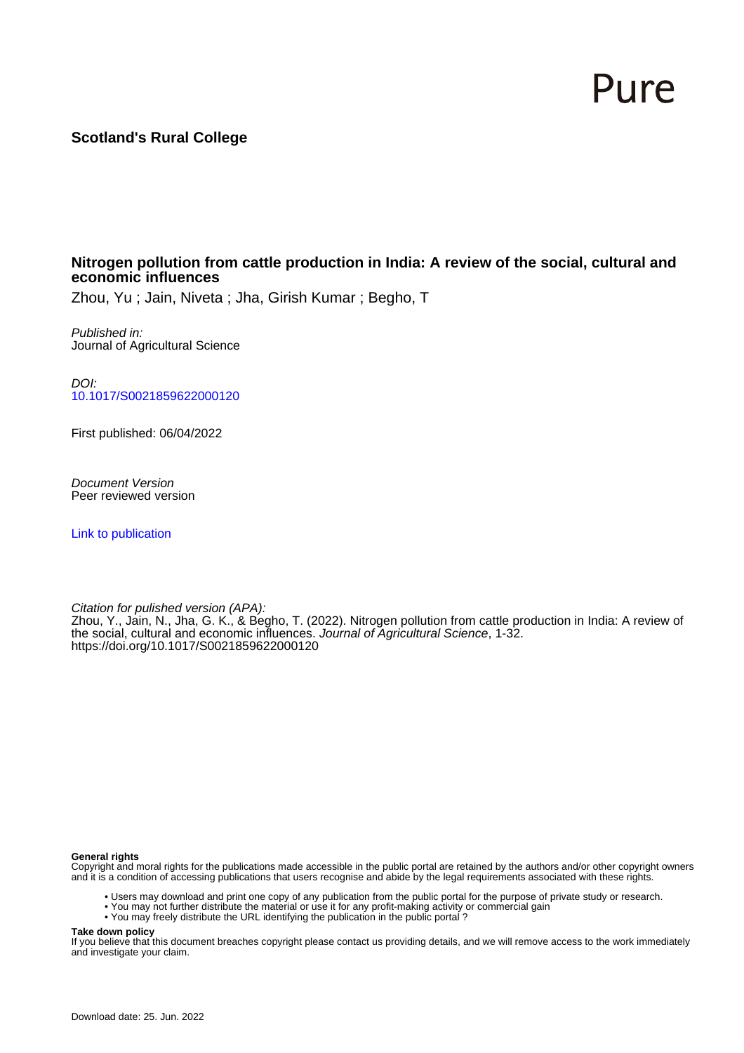# Pure

# **Scotland's Rural College**

#### **Nitrogen pollution from cattle production in India: A review of the social, cultural and economic influences**

Zhou, Yu ; Jain, Niveta ; Jha, Girish Kumar ; Begho, T

Published in: Journal of Agricultural Science

DOI: [10.1017/S0021859622000120](https://doi.org/10.1017/S0021859622000120)

First published: 06/04/2022

Document Version Peer reviewed version

[Link to publication](https://pure.sruc.ac.uk/en/publications/fb89c50e-6a99-4be5-952d-73560d04f127)

Citation for pulished version (APA):

Zhou, Y., Jain, N., Jha, G. K., & Begho, T. (2022). Nitrogen pollution from cattle production in India: A review of the social, cultural and economic influences. Journal of Agricultural Science, 1-32. <https://doi.org/10.1017/S0021859622000120>

#### **General rights**

Copyright and moral rights for the publications made accessible in the public portal are retained by the authors and/or other copyright owners and it is a condition of accessing publications that users recognise and abide by the legal requirements associated with these rights.

- Users may download and print one copy of any publication from the public portal for the purpose of private study or research.
- You may not further distribute the material or use it for any profit-making activity or commercial gain
- You may freely distribute the URL identifying the publication in the public portal ?

#### **Take down policy**

If you believe that this document breaches copyright please contact us providing details, and we will remove access to the work immediately and investigate your claim.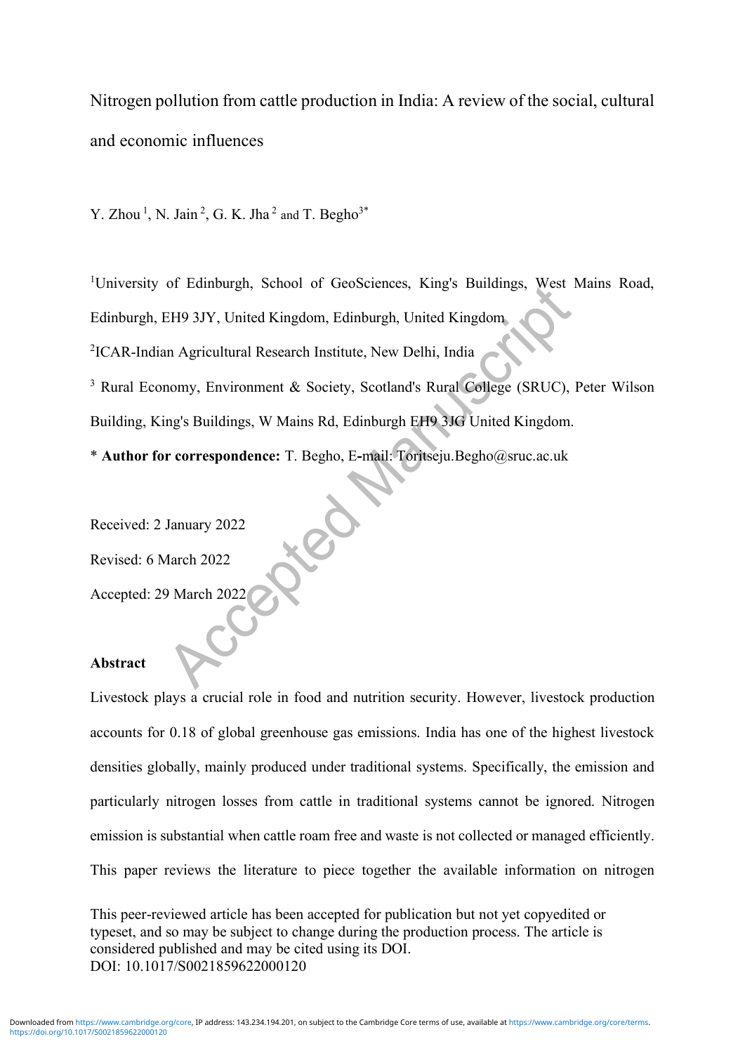Nitrogen pollution from cattle production in India: A review of the social, cultural and economic influences

Y. Zhou<sup>1</sup>, N. Jain<sup>2</sup>, G. K. Jha<sup>2</sup> and T. Begho<sup>3\*</sup>

<sup>1</sup>University of Edinburgh, School of GeoSciences, King's Buildings, West Mains Road,

Edinburgh, EH9 3JY, United Kingdom, Edinburgh, United Kingdom

2 ICAR-Indian Agricultural Research Institute, New Delhi, India

<sup>3</sup> Rural Economy, Environment & Society, Scotland's Rural College (SRUC), Peter Wilson Building, King's Buildings, W Mains Rd, Edinburgh EH9 3JG United Kingdom.

\* **Author for correspondence:** T. Begho, E**-**mail: Toritseju.Begho@sruc.ac.uk

Received: 2 January 2022

Revised: 6 March 2022

Accepted: 29 March 2022

## **Abstract**

Livestock plays a crucial role in food and nutrition security. However, livestock production accounts for 0.18 of global greenhouse gas emissions. India has one of the highest livestock densities globally, mainly produced under traditional systems. Specifically, the emission and particularly nitrogen losses from cattle in traditional systems cannot be ignored. Nitrogen emission is substantial when cattle roam free and waste is not collected or managed efficiently. This paper reviews the literature to piece together the available information on nitrogen

This peer-reviewed article has been accepted for publication but not yet copyedited or typeset, and so may be subject to change during the production process. The article is considered published and may be cited using its DOI. DOI: 10.1017/S0021859622000120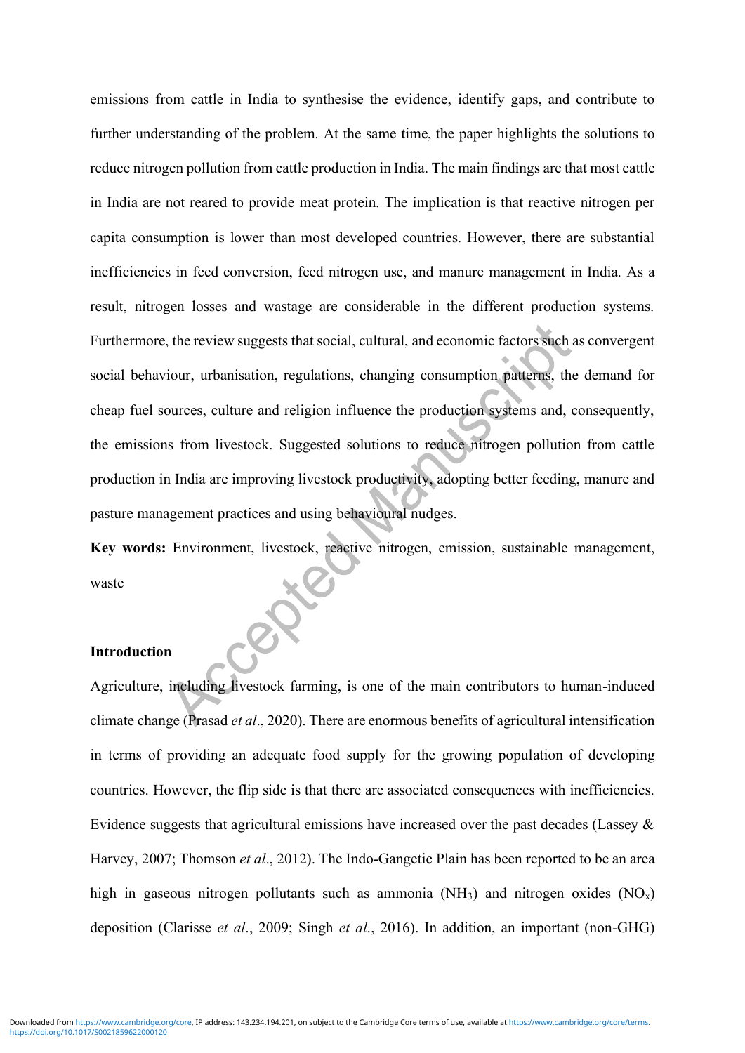emissions from cattle in India to synthesise the evidence, identify gaps, and contribute to further understanding of the problem. At the same time, the paper highlights the solutions to reduce nitrogen pollution from cattle production in India. The main findings are that most cattle in India are not reared to provide meat protein. The implication is that reactive nitrogen per capita consumption is lower than most developed countries. However, there are substantial inefficiencies in feed conversion, feed nitrogen use, and manure management in India. As a result, nitrogen losses and wastage are considerable in the different production systems. Furthermore, the review suggests that social, cultural, and economic factors such as convergent social behaviour, urbanisation, regulations, changing consumption patterns, the demand for cheap fuel sources, culture and religion influence the production systems and, consequently, the emissions from livestock. Suggested solutions to reduce nitrogen pollution from cattle production in India are improving livestock productivity, adopting better feeding, manure and pasture management practices and using behavioural nudges.

**Key words:** Environment, livestock, reactive nitrogen, emission, sustainable management, waste ÖK

### **Introduction**

Agriculture, including livestock farming, is one of the main contributors to human-induced climate change (Prasad *et al*., 2020). There are enormous benefits of agricultural intensification in terms of providing an adequate food supply for the growing population of developing countries. However, the flip side is that there are associated consequences with inefficiencies. Evidence suggests that agricultural emissions have increased over the past decades (Lassey  $\&$ Harvey, 2007; Thomson *et al*., 2012). The Indo-Gangetic Plain has been reported to be an area high in gaseous nitrogen pollutants such as ammonia ( $NH<sub>3</sub>$ ) and nitrogen oxides ( $NO<sub>x</sub>$ ) deposition (Clarisse *et al*., 2009; Singh *et al*., 2016). In addition, an important (non-GHG)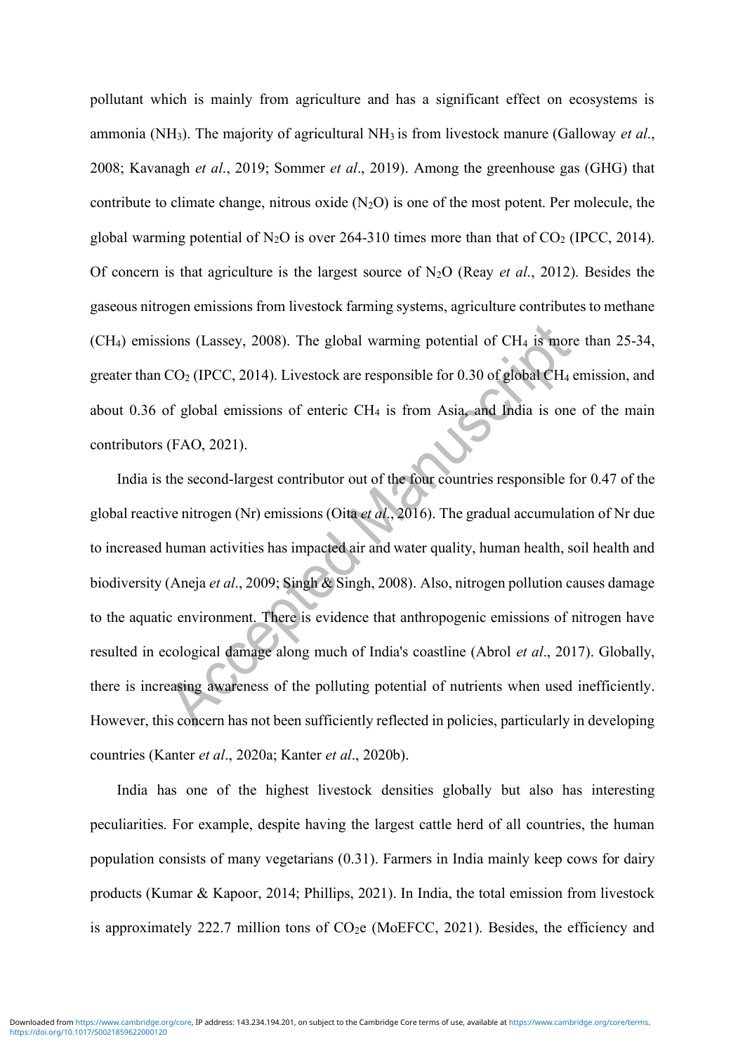pollutant which is mainly from agriculture and has a significant effect on ecosystems is ammonia (NH3). The majority of agricultural NH3 is from livestock manure (Galloway *et al*., 2008; Kavanagh *et al*., 2019; Sommer *et al*., 2019). Among the greenhouse gas (GHG) that contribute to climate change, nitrous oxide  $(N_2O)$  is one of the most potent. Per molecule, the global warming potential of  $N_2O$  is over 264-310 times more than that of  $CO_2$  (IPCC, 2014). Of concern is that agriculture is the largest source of N2O (Reay *et al*., 2012). Besides the gaseous nitrogen emissions from livestock farming systems, agriculture contributes to methane  $(CH<sub>4</sub>)$  emissions (Lassey, 2008). The global warming potential of CH $<sub>4</sub>$  is more than 25-34,</sub> greater than  $CO_2$  (IPCC, 2014). Livestock are responsible for 0.30 of global  $CH_4$  emission, and about 0.36 of global emissions of enteric  $CH_4$  is from Asia, and India is one of the main contributors (FAO, 2021).

India is the second-largest contributor out of the four countries responsible for 0.47 of the global reactive nitrogen (Nr) emissions (Oita *et al*., 2016). The gradual accumulation of Nr due to increased human activities has impacted air and water quality, human health, soil health and biodiversity (Aneja *et al*., 2009; Singh & Singh, 2008). Also, nitrogen pollution causes damage to the aquatic environment. There is evidence that anthropogenic emissions of nitrogen have resulted in ecological damage along much of India's coastline (Abrol *et al*., 2017). Globally, there is increasing awareness of the polluting potential of nutrients when used inefficiently. However, this concern has not been sufficiently reflected in policies, particularly in developing countries (Kanter *et al*., 2020a; Kanter *et al*., 2020b).

India has one of the highest livestock densities globally but also has interesting peculiarities. For example, despite having the largest cattle herd of all countries, the human population consists of many vegetarians (0.31). Farmers in India mainly keep cows for dairy products (Kumar & Kapoor, 2014; Phillips, 2021). In India, the total emission from livestock is approximately 222.7 million tons of  $CO<sub>2</sub>e$  (MoEFCC, 2021). Besides, the efficiency and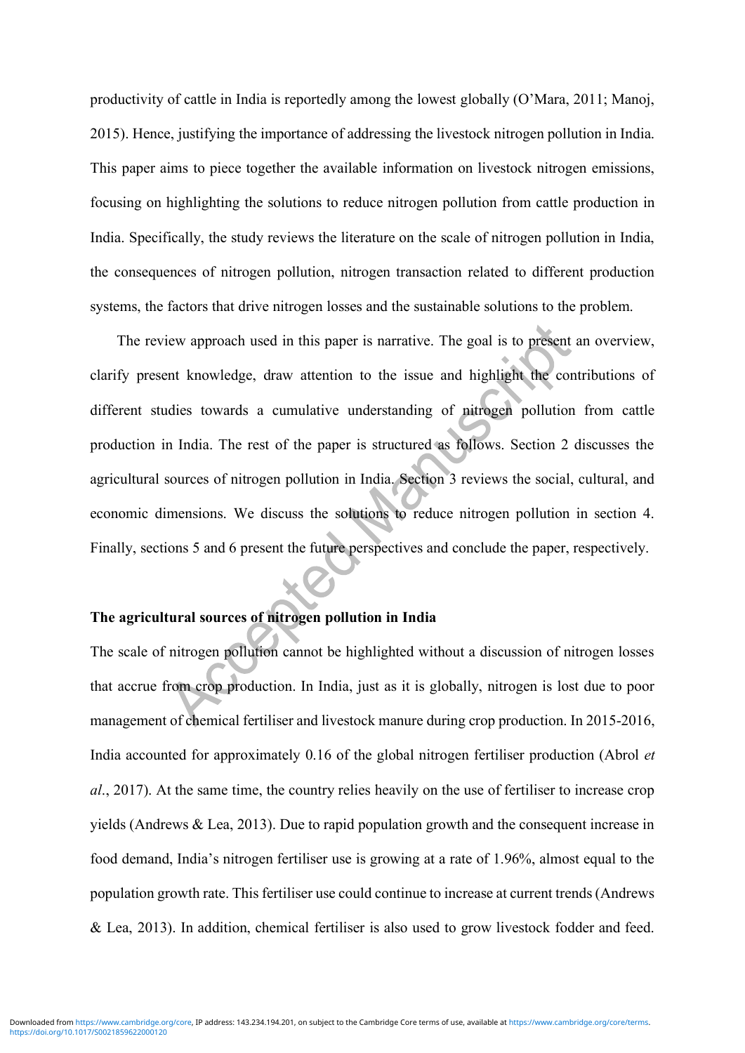productivity of cattle in India is reportedly among the lowest globally (O'Mara, 2011; Manoj, 2015). Hence, justifying the importance of addressing the livestock nitrogen pollution in India. This paper aims to piece together the available information on livestock nitrogen emissions, focusing on highlighting the solutions to reduce nitrogen pollution from cattle production in India. Specifically, the study reviews the literature on the scale of nitrogen pollution in India, the consequences of nitrogen pollution, nitrogen transaction related to different production systems, the factors that drive nitrogen losses and the sustainable solutions to the problem.

The review approach used in this paper is narrative. The goal is to present an overview, clarify present knowledge, draw attention to the issue and highlight the contributions of different studies towards a cumulative understanding of nitrogen pollution from cattle production in India. The rest of the paper is structured as follows. Section 2 discusses the agricultural sources of nitrogen pollution in India. Section 3 reviews the social, cultural, and economic dimensions. We discuss the solutions to reduce nitrogen pollution in section 4. Finally, sections 5 and 6 present the future perspectives and conclude the paper, respectively.

# **The agricultural sources of nitrogen pollution in India**

The scale of nitrogen pollution cannot be highlighted without a discussion of nitrogen losses that accrue from crop production. In India, just as it is globally, nitrogen is lost due to poor management of chemical fertiliser and livestock manure during crop production. In 2015-2016, India accounted for approximately 0.16 of the global nitrogen fertiliser production (Abrol *et al*., 2017). At the same time, the country relies heavily on the use of fertiliser to increase crop yields (Andrews & Lea, 2013). Due to rapid population growth and the consequent increase in food demand, India's nitrogen fertiliser use is growing at a rate of 1.96%, almost equal to the population growth rate. This fertiliser use could continue to increase at current trends (Andrews & Lea, 2013). In addition, chemical fertiliser is also used to grow livestock fodder and feed.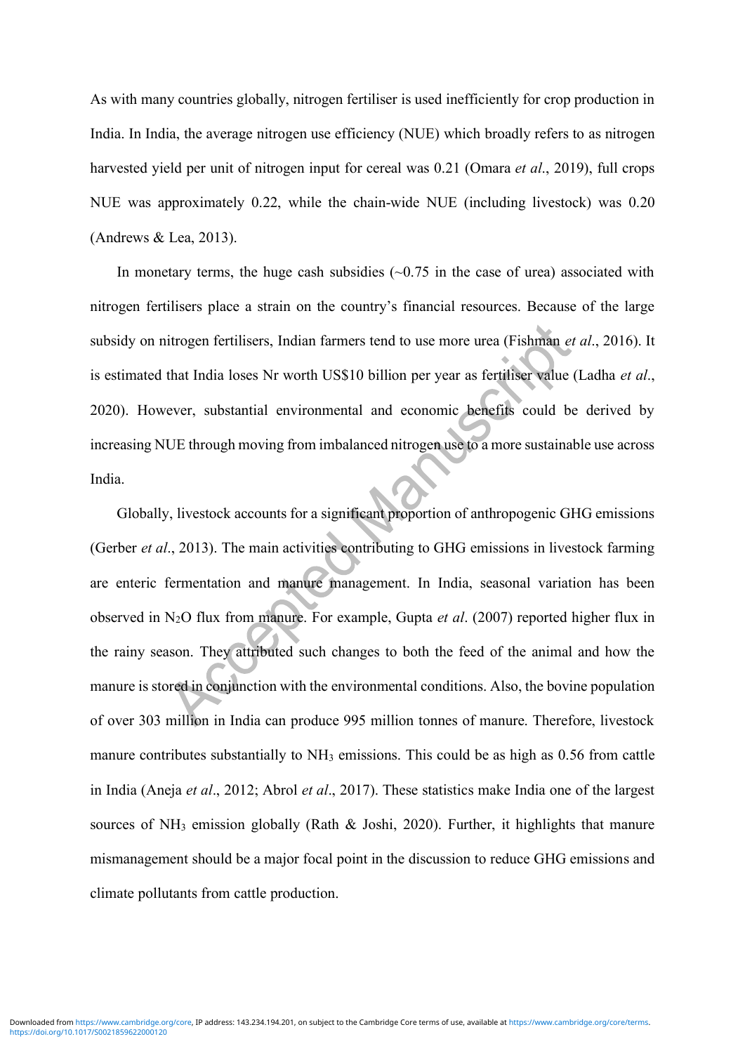As with many countries globally, nitrogen fertiliser is used inefficiently for crop production in India. In India, the average nitrogen use efficiency (NUE) which broadly refers to as nitrogen harvested yield per unit of nitrogen input for cereal was 0.21 (Omara *et al*., 2019), full crops NUE was approximately 0.22, while the chain-wide NUE (including livestock) was 0.20 (Andrews & Lea, 2013).

In monetary terms, the huge cash subsidies  $(-0.75)$  in the case of urea) associated with nitrogen fertilisers place a strain on the country's financial resources. Because of the large subsidy on nitrogen fertilisers, Indian farmers tend to use more urea (Fishman *et al*., 2016). It is estimated that India loses Nr worth US\$10 billion per year as fertiliser value (Ladha *et al*., 2020). However, substantial environmental and economic benefits could be derived by increasing NUE through moving from imbalanced nitrogen use to a more sustainable use across India.

Globally, livestock accounts for a significant proportion of anthropogenic GHG emissions (Gerber *et al*., 2013). The main activities contributing to GHG emissions in livestock farming are enteric fermentation and manure management. In India, seasonal variation has been observed in N2O flux from manure. For example, Gupta *et al*. (2007) reported higher flux in the rainy season. They attributed such changes to both the feed of the animal and how the manure is stored in conjunction with the environmental conditions. Also, the bovine population of over 303 million in India can produce 995 million tonnes of manure. Therefore, livestock manure contributes substantially to NH<sub>3</sub> emissions. This could be as high as 0.56 from cattle in India (Aneja *et al*., 2012; Abrol *et al*., 2017). These statistics make India one of the largest sources of NH<sub>3</sub> emission globally (Rath  $\&$  Joshi, 2020). Further, it highlights that manure mismanagement should be a major focal point in the discussion to reduce GHG emissions and climate pollutants from cattle production.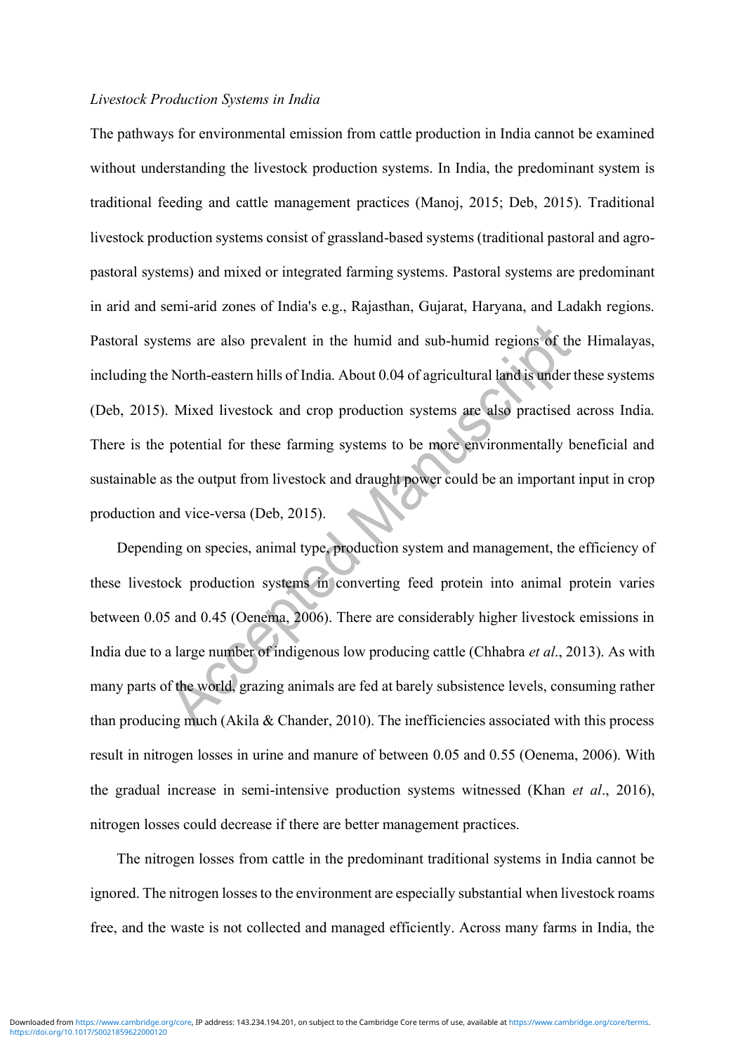#### *Livestock Production Systems in India*

The pathways for environmental emission from cattle production in India cannot be examined without understanding the livestock production systems. In India, the predominant system is traditional feeding and cattle management practices (Manoj, 2015; Deb, 2015). Traditional livestock production systems consist of grassland-based systems (traditional pastoral and agropastoral systems) and mixed or integrated farming systems. Pastoral systems are predominant in arid and semi-arid zones of India's e.g., Rajasthan, Gujarat, Haryana, and Ladakh regions. Pastoral systems are also prevalent in the humid and sub-humid regions of the Himalayas, including the North-eastern hills of India. About 0.04 of agricultural land is under these systems (Deb, 2015). Mixed livestock and crop production systems are also practised across India. There is the potential for these farming systems to be more environmentally beneficial and sustainable as the output from livestock and draught power could be an important input in crop production and vice-versa (Deb, 2015).

Depending on species, animal type, production system and management, the efficiency of these livestock production systems in converting feed protein into animal protein varies between 0.05 and 0.45 (Oenema, 2006). There are considerably higher livestock emissions in India due to a large number of indigenous low producing cattle (Chhabra *et al*., 2013). As with many parts of the world, grazing animals are fed at barely subsistence levels, consuming rather than producing much (Akila  $&$  Chander, 2010). The inefficiencies associated with this process result in nitrogen losses in urine and manure of between 0.05 and 0.55 (Oenema, 2006). With the gradual increase in semi-intensive production systems witnessed (Khan *et al*., 2016), nitrogen losses could decrease if there are better management practices.

The nitrogen losses from cattle in the predominant traditional systems in India cannot be ignored. The nitrogen losses to the environment are especially substantial when livestock roams free, and the waste is not collected and managed efficiently. Across many farms in India, the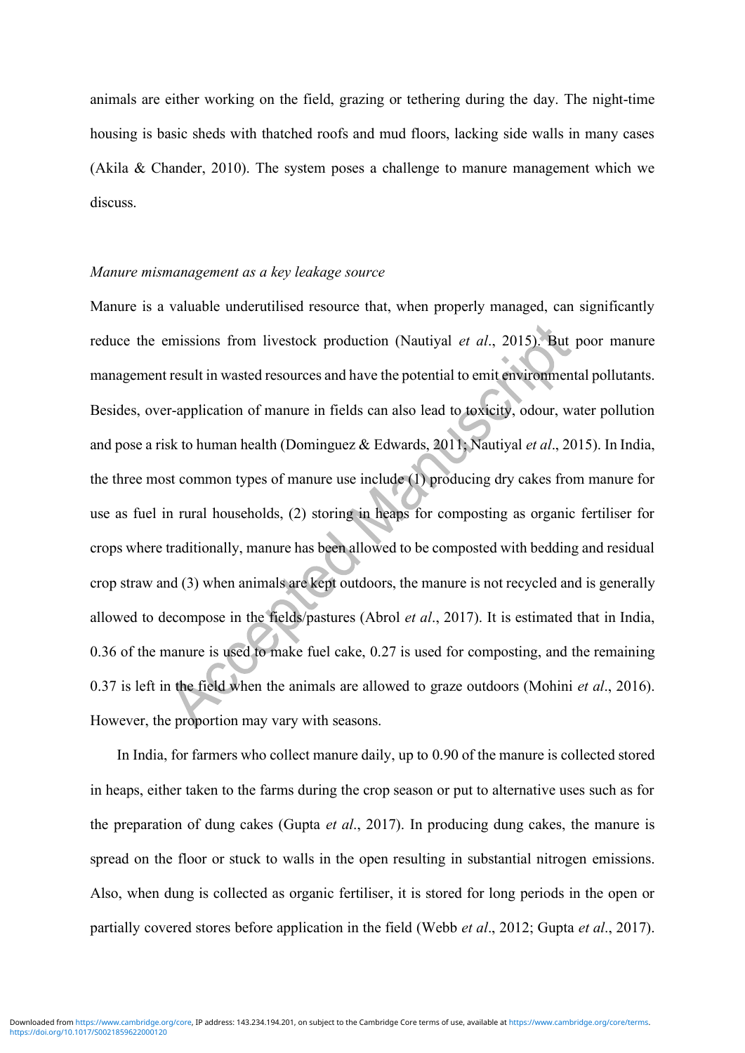animals are either working on the field, grazing or tethering during the day. The night-time housing is basic sheds with thatched roofs and mud floors, lacking side walls in many cases (Akila & Chander, 2010). The system poses a challenge to manure management which we discuss.

#### *Manure mismanagement as a key leakage source*

Manure is a valuable underutilised resource that, when properly managed, can significantly reduce the emissions from livestock production (Nautiyal *et al*., 2015). But poor manure management result in wasted resources and have the potential to emit environmental pollutants. Besides, over-application of manure in fields can also lead to toxicity, odour, water pollution and pose a risk to human health (Dominguez & Edwards, 2011; Nautiyal *et al*., 2015). In India, the three most common types of manure use include (1) producing dry cakes from manure for use as fuel in rural households, (2) storing in heaps for composting as organic fertiliser for crops where traditionally, manure has been allowed to be composted with bedding and residual crop straw and (3) when animals are kept outdoors, the manure is not recycled and is generally allowed to decompose in the fields/pastures (Abrol *et al*., 2017). It is estimated that in India, 0.36 of the manure is used to make fuel cake, 0.27 is used for composting, and the remaining 0.37 is left in the field when the animals are allowed to graze outdoors (Mohini *et al*., 2016). However, the proportion may vary with seasons.

In India, for farmers who collect manure daily, up to 0.90 of the manure is collected stored in heaps, either taken to the farms during the crop season or put to alternative uses such as for the preparation of dung cakes (Gupta *et al*., 2017). In producing dung cakes, the manure is spread on the floor or stuck to walls in the open resulting in substantial nitrogen emissions. Also, when dung is collected as organic fertiliser, it is stored for long periods in the open or partially covered stores before application in the field (Webb *et al*., 2012; Gupta *et al*., 2017).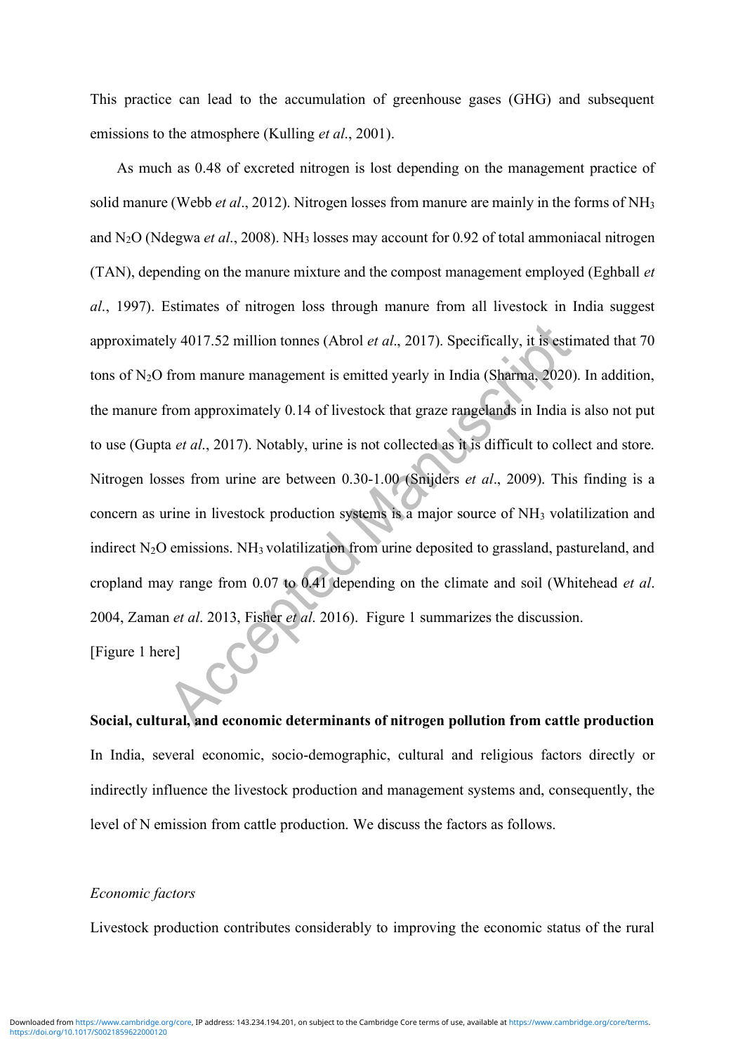This practice can lead to the accumulation of greenhouse gases (GHG) and subsequent emissions to the atmosphere (Kulling *et al*., 2001).

As much as 0.48 of excreted nitrogen is lost depending on the management practice of solid manure (Webb *et al*., 2012). Nitrogen losses from manure are mainly in the forms of NH<sup>3</sup> and N2O (Ndegwa *et al*., 2008). NH<sup>3</sup> losses may account for 0.92 of total ammoniacal nitrogen (TAN), depending on the manure mixture and the compost management employed (Eghball *et al*., 1997). Estimates of nitrogen loss through manure from all livestock in India suggest approximately 4017.52 million tonnes (Abrol *et al*., 2017). Specifically, it is estimated that 70 tons of  $N_2O$  from manure management is emitted yearly in India (Sharma, 2020). In addition, the manure from approximately 0.14 of livestock that graze rangelands in India is also not put to use (Gupta *et al*., 2017). Notably, urine is not collected as it is difficult to collect and store. Nitrogen losses from urine are between 0.30-1.00 (Snijders *et al*., 2009). This finding is a concern as urine in livestock production systems is a major source of NH<sup>3</sup> volatilization and indirect  $N_2O$  emissions. NH<sub>3</sub> volatilization from urine deposited to grassland, pastureland, and cropland may range from 0.07 to 0.41 depending on the climate and soil (Whitehead *et al*. 2004, Zaman *et al*. 2013, Fisher *et al*. 2016). Figure 1 summarizes the discussion.

[Figure 1 here]

**Social, cultural, and economic determinants of nitrogen pollution from cattle production**  In India, several economic, socio-demographic, cultural and religious factors directly or indirectly influence the livestock production and management systems and, consequently, the level of N emission from cattle production. We discuss the factors as follows.

#### *Economic factors*

Livestock production contributes considerably to improving the economic status of the rural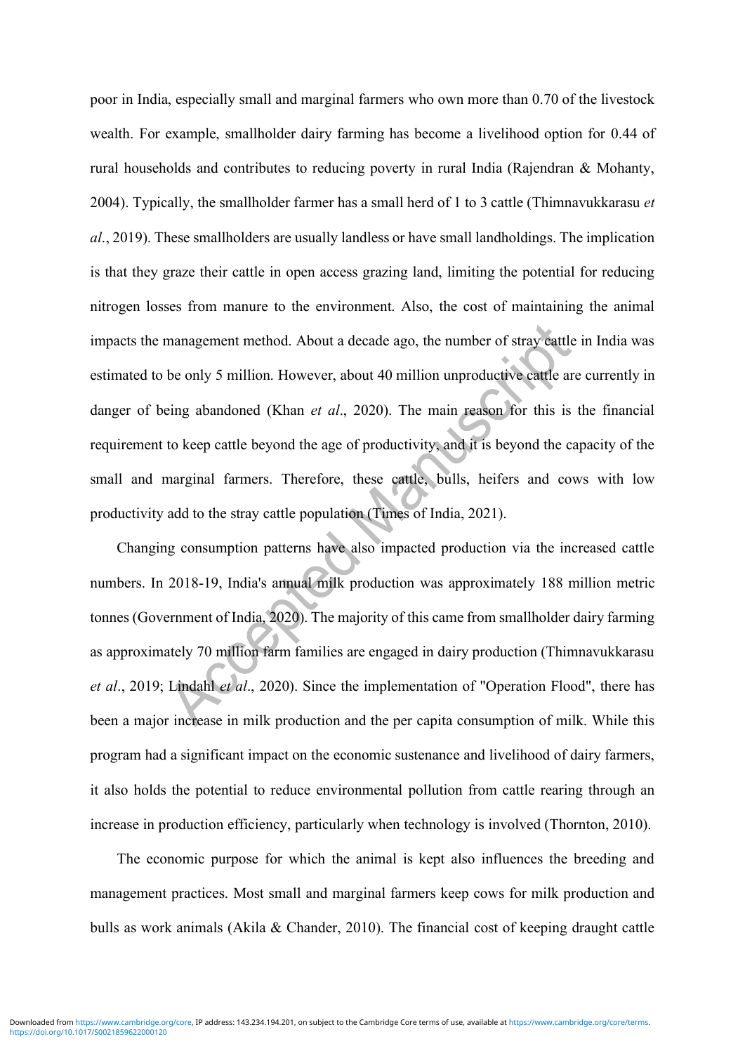poor in India, especially small and marginal farmers who own more than 0.70 of the livestock wealth. For example, smallholder dairy farming has become a livelihood option for 0.44 of rural households and contributes to reducing poverty in rural India (Rajendran & Mohanty, 2004). Typically, the smallholder farmer has a small herd of 1 to 3 cattle (Thimnavukkarasu *et al*., 2019). These smallholders are usually landless or have small landholdings. The implication is that they graze their cattle in open access grazing land, limiting the potential for reducing nitrogen losses from manure to the environment. Also, the cost of maintaining the animal impacts the management method. About a decade ago, the number of stray cattle in India was estimated to be only 5 million. However, about 40 million unproductive cattle are currently in danger of being abandoned (Khan *et al*., 2020). The main reason for this is the financial requirement to keep cattle beyond the age of productivity, and it is beyond the capacity of the small and marginal farmers. Therefore, these cattle, bulls, heifers and cows with low productivity add to the stray cattle population (Times of India, 2021).

Changing consumption patterns have also impacted production via the increased cattle numbers. In 2018-19, India's annual milk production was approximately 188 million metric tonnes (Government of India, 2020). The majority of this came from smallholder dairy farming as approximately 70 million farm families are engaged in dairy production (Thimnavukkarasu *et al*., 2019; Lindahl *et al*., 2020). Since the implementation of "Operation Flood", there has been a major increase in milk production and the per capita consumption of milk. While this program had a significant impact on the economic sustenance and livelihood of dairy farmers, it also holds the potential to reduce environmental pollution from cattle rearing through an increase in production efficiency, particularly when technology is involved (Thornton, 2010).

The economic purpose for which the animal is kept also influences the breeding and management practices. Most small and marginal farmers keep cows for milk production and bulls as work animals (Akila & Chander, 2010). The financial cost of keeping draught cattle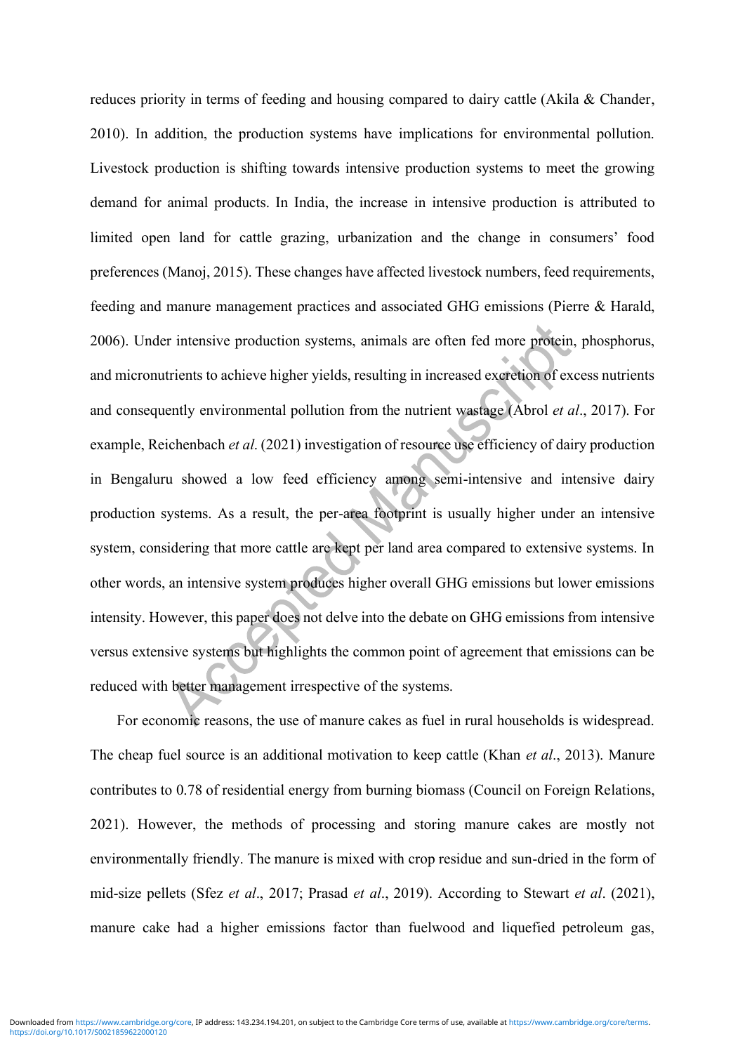reduces priority in terms of feeding and housing compared to dairy cattle (Akila & Chander, 2010). In addition, the production systems have implications for environmental pollution. Livestock production is shifting towards intensive production systems to meet the growing demand for animal products. In India, the increase in intensive production is attributed to limited open land for cattle grazing, urbanization and the change in consumers' food preferences (Manoj, 2015). These changes have affected livestock numbers, feed requirements, feeding and manure management practices and associated GHG emissions (Pierre & Harald, 2006). Under intensive production systems, animals are often fed more protein, phosphorus, and micronutrients to achieve higher yields, resulting in increased excretion of excess nutrients and consequently environmental pollution from the nutrient wastage (Abrol *et al*., 2017). For example, Reichenbach *et al*. (2021) investigation of resource use efficiency of dairy production in Bengaluru showed a low feed efficiency among semi-intensive and intensive dairy production systems. As a result, the per-area footprint is usually higher under an intensive system, considering that more cattle are kept per land area compared to extensive systems. In other words, an intensive system produces higher overall GHG emissions but lower emissions intensity. However, this paper does not delve into the debate on GHG emissions from intensive versus extensive systems but highlights the common point of agreement that emissions can be reduced with better management irrespective of the systems.

For economic reasons, the use of manure cakes as fuel in rural households is widespread. The cheap fuel source is an additional motivation to keep cattle (Khan *et al*., 2013). Manure contributes to 0.78 of residential energy from burning biomass (Council on Foreign Relations, 2021). However, the methods of processing and storing manure cakes are mostly not environmentally friendly. The manure is mixed with crop residue and sun-dried in the form of mid-size pellets (Sfez *et al*., 2017; Prasad *et al*., 2019). According to Stewart *et al*. (2021), manure cake had a higher emissions factor than fuelwood and liquefied petroleum gas,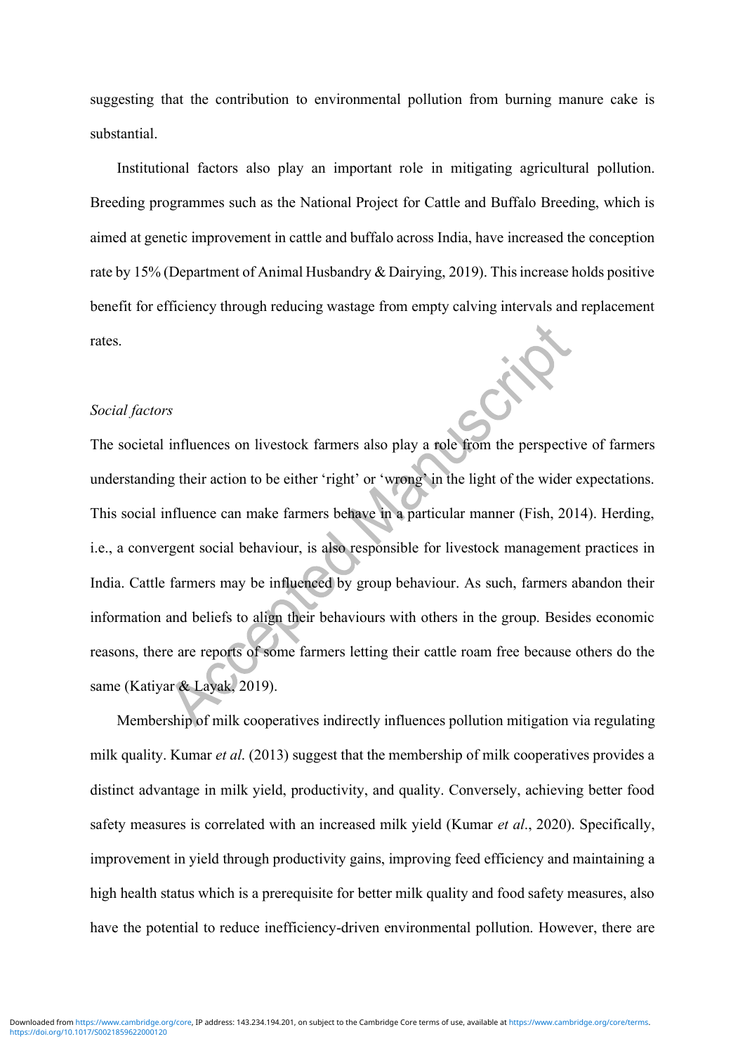suggesting that the contribution to environmental pollution from burning manure cake is substantial.

Institutional factors also play an important role in mitigating agricultural pollution. Breeding programmes such as the National Project for Cattle and Buffalo Breeding, which is aimed at genetic improvement in cattle and buffalo across India, have increased the conception rate by 15% (Department of Animal Husbandry & Dairying, 2019). This increase holds positive benefit for efficiency through reducing wastage from empty calving intervals and replacement rates.

#### *Social factors*

The societal influences on livestock farmers also play a role from the perspective of farmers understanding their action to be either 'right' or 'wrong' in the light of the wider expectations. This social influence can make farmers behave in a particular manner (Fish, 2014). Herding, i.e., a convergent social behaviour, is also responsible for livestock management practices in India. Cattle farmers may be influenced by group behaviour. As such, farmers abandon their information and beliefs to align their behaviours with others in the group. Besides economic reasons, there are reports of some farmers letting their cattle roam free because others do the same (Katiyar & Layak, 2019).

Membership of milk cooperatives indirectly influences pollution mitigation via regulating milk quality. Kumar *et al*. (2013) suggest that the membership of milk cooperatives provides a distinct advantage in milk yield, productivity, and quality. Conversely, achieving better food safety measures is correlated with an increased milk yield (Kumar *et al*., 2020). Specifically, improvement in yield through productivity gains, improving feed efficiency and maintaining a high health status which is a prerequisite for better milk quality and food safety measures, also have the potential to reduce inefficiency-driven environmental pollution. However, there are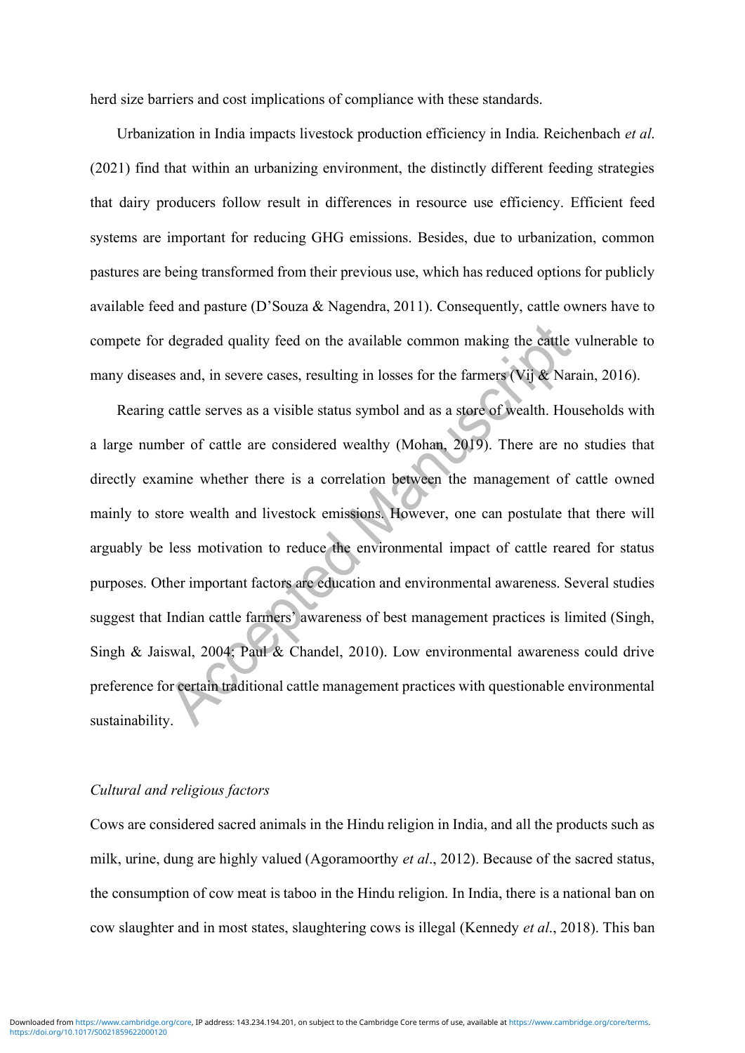herd size barriers and cost implications of compliance with these standards.

Urbanization in India impacts livestock production efficiency in India. Reichenbach *et al*. (2021) find that within an urbanizing environment, the distinctly different feeding strategies that dairy producers follow result in differences in resource use efficiency. Efficient feed systems are important for reducing GHG emissions. Besides, due to urbanization, common pastures are being transformed from their previous use, which has reduced options for publicly available feed and pasture (D'Souza & Nagendra, 2011). Consequently, cattle owners have to compete for degraded quality feed on the available common making the cattle vulnerable to many diseases and, in severe cases, resulting in losses for the farmers (Vij & Narain, 2016).

Rearing cattle serves as a visible status symbol and as a store of wealth. Households with a large number of cattle are considered wealthy (Mohan, 2019). There are no studies that directly examine whether there is a correlation between the management of cattle owned mainly to store wealth and livestock emissions. However, one can postulate that there will arguably be less motivation to reduce the environmental impact of cattle reared for status purposes. Other important factors are education and environmental awareness. Several studies suggest that Indian cattle farmers' awareness of best management practices is limited (Singh, Singh & Jaiswal, 2004; Paul & Chandel, 2010). Low environmental awareness could drive preference for certain traditional cattle management practices with questionable environmental sustainability.

# *Cultural and religious factors*

Cows are considered sacred animals in the Hindu religion in India, and all the products such as milk, urine, dung are highly valued (Agoramoorthy *et al*., 2012). Because of the sacred status, the consumption of cow meat is taboo in the Hindu religion. In India, there is a national ban on cow slaughter and in most states, slaughtering cows is illegal (Kennedy *et al*., 2018). This ban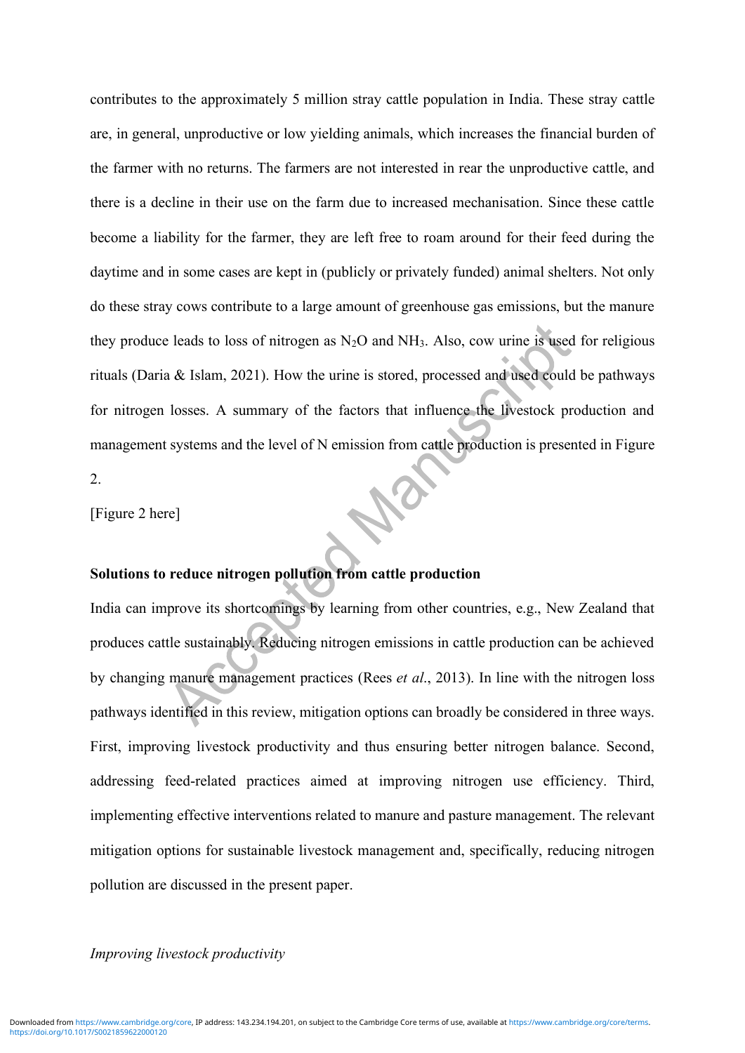contributes to the approximately 5 million stray cattle population in India. These stray cattle are, in general, unproductive or low yielding animals, which increases the financial burden of the farmer with no returns. The farmers are not interested in rear the unproductive cattle, and there is a decline in their use on the farm due to increased mechanisation. Since these cattle become a liability for the farmer, they are left free to roam around for their feed during the daytime and in some cases are kept in (publicly or privately funded) animal shelters. Not only do these stray cows contribute to a large amount of greenhouse gas emissions, but the manure they produce leads to loss of nitrogen as  $N_2O$  and  $NH_3$ . Also, cow urine is used for religious rituals (Daria & Islam, 2021). How the urine is stored, processed and used could be pathways for nitrogen losses. A summary of the factors that influence the livestock production and management systems and the level of N emission from cattle production is presented in Figure 2.

[Figure 2 here]

# **Solutions to reduce nitrogen pollution from cattle production**

India can improve its shortcomings by learning from other countries, e.g., New Zealand that produces cattle sustainably. Reducing nitrogen emissions in cattle production can be achieved by changing manure management practices (Rees *et al*., 2013). In line with the nitrogen loss pathways identified in this review, mitigation options can broadly be considered in three ways. First, improving livestock productivity and thus ensuring better nitrogen balance. Second, addressing feed-related practices aimed at improving nitrogen use efficiency. Third, implementing effective interventions related to manure and pasture management. The relevant mitigation options for sustainable livestock management and, specifically, reducing nitrogen pollution are discussed in the present paper.

# *Improving livestock productivity*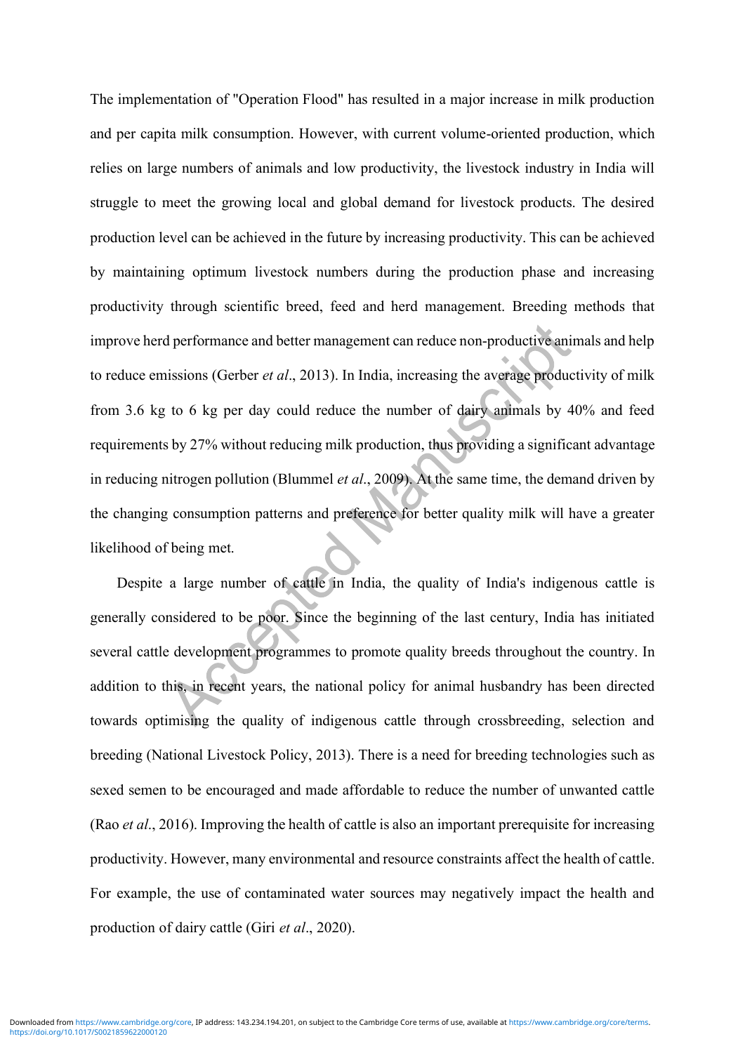The implementation of "Operation Flood" has resulted in a major increase in milk production and per capita milk consumption. However, with current volume-oriented production, which relies on large numbers of animals and low productivity, the livestock industry in India will struggle to meet the growing local and global demand for livestock products. The desired production level can be achieved in the future by increasing productivity. This can be achieved by maintaining optimum livestock numbers during the production phase and increasing productivity through scientific breed, feed and herd management. Breeding methods that improve herd performance and better management can reduce non-productive animals and help to reduce emissions (Gerber *et al*., 2013). In India, increasing the average productivity of milk from 3.6 kg to 6 kg per day could reduce the number of dairy animals by 40% and feed requirements by 27% without reducing milk production, thus providing a significant advantage in reducing nitrogen pollution (Blummel *et al*., 2009). At the same time, the demand driven by the changing consumption patterns and preference for better quality milk will have a greater likelihood of being met.

Despite a large number of cattle in India, the quality of India's indigenous cattle is generally considered to be poor. Since the beginning of the last century, India has initiated several cattle development programmes to promote quality breeds throughout the country. In addition to this, in recent years, the national policy for animal husbandry has been directed towards optimising the quality of indigenous cattle through crossbreeding, selection and breeding (National Livestock Policy, 2013). There is a need for breeding technologies such as sexed semen to be encouraged and made affordable to reduce the number of unwanted cattle (Rao *et al*., 2016). Improving the health of cattle is also an important prerequisite for increasing productivity. However, many environmental and resource constraints affect the health of cattle. For example, the use of contaminated water sources may negatively impact the health and production of dairy cattle (Giri *et al*., 2020).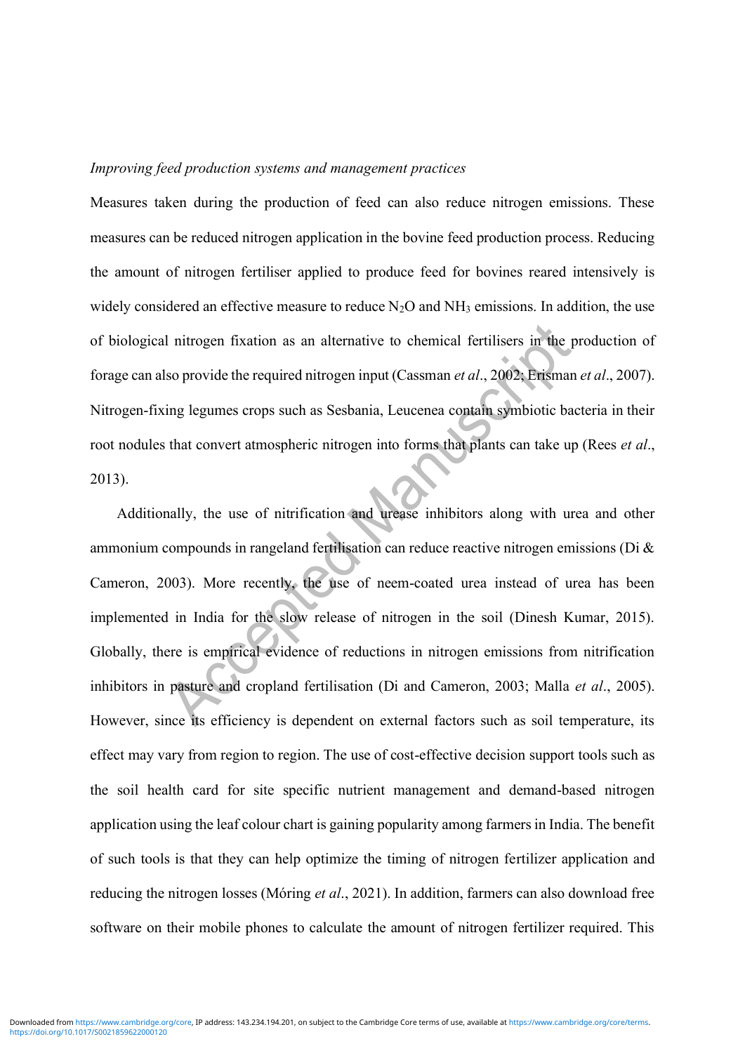#### *Improving feed production systems and management practices*

Measures taken during the production of feed can also reduce nitrogen emissions. These measures can be reduced nitrogen application in the bovine feed production process. Reducing the amount of nitrogen fertiliser applied to produce feed for bovines reared intensively is widely considered an effective measure to reduce  $N_2O$  and  $NH_3$  emissions. In addition, the use of biological nitrogen fixation as an alternative to chemical fertilisers in the production of forage can also provide the required nitrogen input (Cassman *et al*., 2002; Erisman *et al*., 2007). Nitrogen-fixing legumes crops such as Sesbania, Leucenea contain symbiotic bacteria in their root nodules that convert atmospheric nitrogen into forms that plants can take up (Rees *et al*., 2013).

Additionally, the use of nitrification and urease inhibitors along with urea and other ammonium compounds in rangeland fertilisation can reduce reactive nitrogen emissions (Di & Cameron, 2003). More recently, the use of neem-coated urea instead of urea has been implemented in India for the slow release of nitrogen in the soil (Dinesh Kumar, 2015). Globally, there is empirical evidence of reductions in nitrogen emissions from nitrification inhibitors in pasture and cropland fertilisation (Di and Cameron, 2003; Malla *et al*., 2005). However, since its efficiency is dependent on external factors such as soil temperature, its effect may vary from region to region. The use of cost-effective decision support tools such as the soil health card for site specific nutrient management and demand-based nitrogen application using the leaf colour chart is gaining popularity among farmers in India. The benefit of such tools is that they can help optimize the timing of nitrogen fertilizer application and reducing the nitrogen losses (Móring *et al*., 2021). In addition, farmers can also download free software on their mobile phones to calculate the amount of nitrogen fertilizer required. This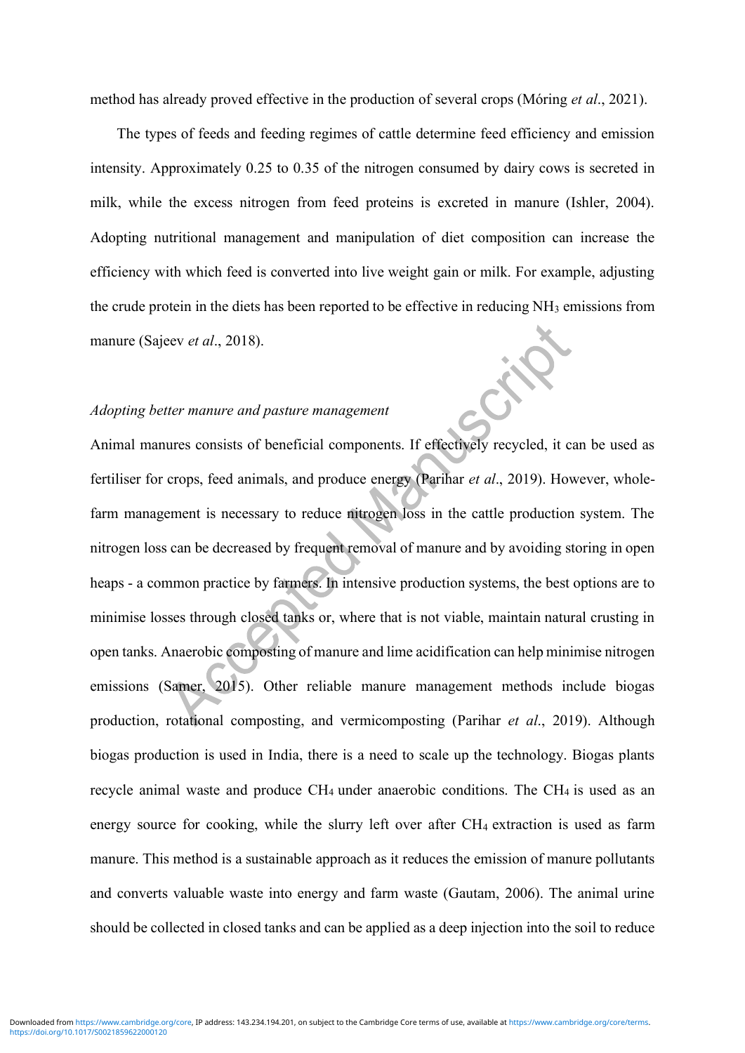method has already proved effective in the production of several crops (Móring *et al*., 2021).

The types of feeds and feeding regimes of cattle determine feed efficiency and emission intensity. Approximately 0.25 to 0.35 of the nitrogen consumed by dairy cows is secreted in milk, while the excess nitrogen from feed proteins is excreted in manure (Ishler, 2004). Adopting nutritional management and manipulation of diet composition can increase the efficiency with which feed is converted into live weight gain or milk. For example, adjusting the crude protein in the diets has been reported to be effective in reducing NH<sub>3</sub> emissions from manure (Sajeev *et al*., 2018).

# *Adopting better manure and pasture management*

Animal manures consists of beneficial components. If effectively recycled, it can be used as fertiliser for crops, feed animals, and produce energy (Parihar *et al*., 2019). However, wholefarm management is necessary to reduce nitrogen loss in the cattle production system. The nitrogen loss can be decreased by frequent removal of manure and by avoiding storing in open heaps - a common practice by farmers. In intensive production systems, the best options are to minimise losses through closed tanks or, where that is not viable, maintain natural crusting in open tanks. Anaerobic composting of manure and lime acidification can help minimise nitrogen emissions (Samer, 2015). Other reliable manure management methods include biogas production, rotational composting, and vermicomposting (Parihar *et al*., 2019). Although biogas production is used in India, there is a need to scale up the technology. Biogas plants recycle animal waste and produce  $CH_4$  under anaerobic conditions. The  $CH_4$  is used as an energy source for cooking, while the slurry left over after CH4 extraction is used as farm manure. This method is a sustainable approach as it reduces the emission of manure pollutants and converts valuable waste into energy and farm waste (Gautam, 2006). The animal urine should be collected in closed tanks and can be applied as a deep injection into the soil to reduce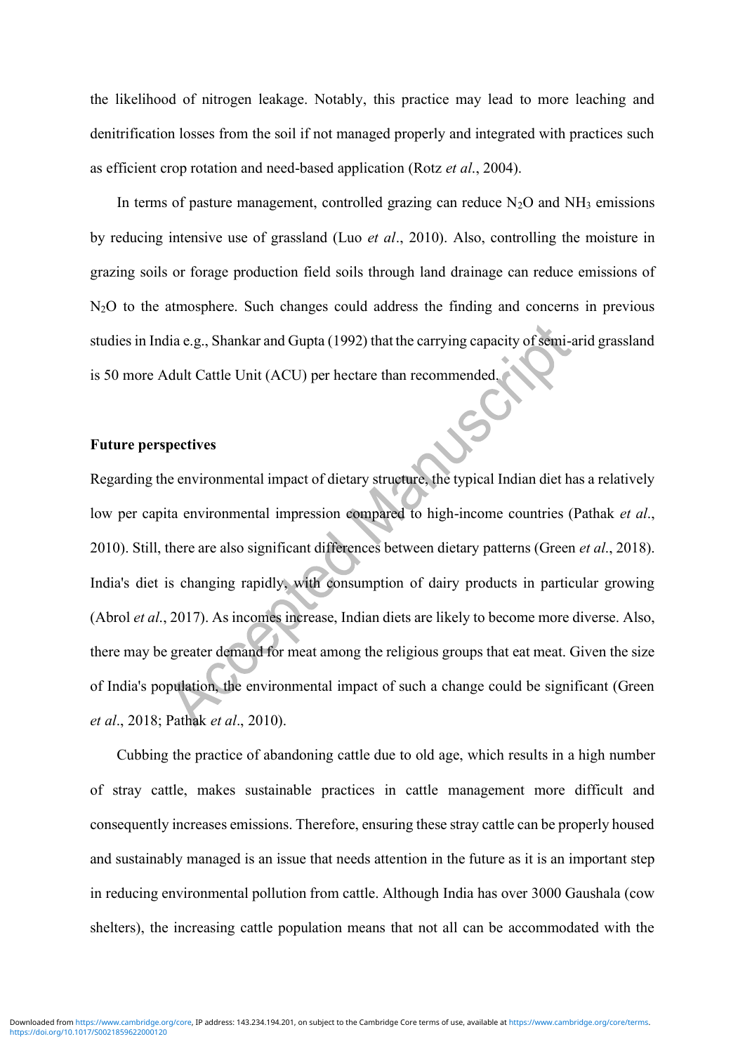the likelihood of nitrogen leakage. Notably, this practice may lead to more leaching and denitrification losses from the soil if not managed properly and integrated with practices such as efficient crop rotation and need-based application (Rotz *et al*., 2004).

In terms of pasture management, controlled grazing can reduce  $N_2O$  and  $NH_3$  emissions by reducing intensive use of grassland (Luo *et al*., 2010). Also, controlling the moisture in grazing soils or forage production field soils through land drainage can reduce emissions of N<sub>2</sub>O to the atmosphere. Such changes could address the finding and concerns in previous studies in India e.g., Shankar and Gupta (1992) that the carrying capacity of semi-arid grassland is 50 more Adult Cattle Unit (ACU) per hectare than recommended.

SC

# **Future perspectives**

Regarding the environmental impact of dietary structure, the typical Indian diet has a relatively low per capita environmental impression compared to high-income countries (Pathak *et al*., 2010). Still, there are also significant differences between dietary patterns (Green *et al*., 2018). India's diet is changing rapidly, with consumption of dairy products in particular growing (Abrol *et al*., 2017). As incomes increase, Indian diets are likely to become more diverse. Also, there may be greater demand for meat among the religious groups that eat meat. Given the size of India's population, the environmental impact of such a change could be significant (Green *et al*., 2018; Pathak *et al*., 2010).

Cubbing the practice of abandoning cattle due to old age, which results in a high number of stray cattle, makes sustainable practices in cattle management more difficult and consequently increases emissions. Therefore, ensuring these stray cattle can be properly housed and sustainably managed is an issue that needs attention in the future as it is an important step in reducing environmental pollution from cattle. Although India has over 3000 Gaushala (cow shelters), the increasing cattle population means that not all can be accommodated with the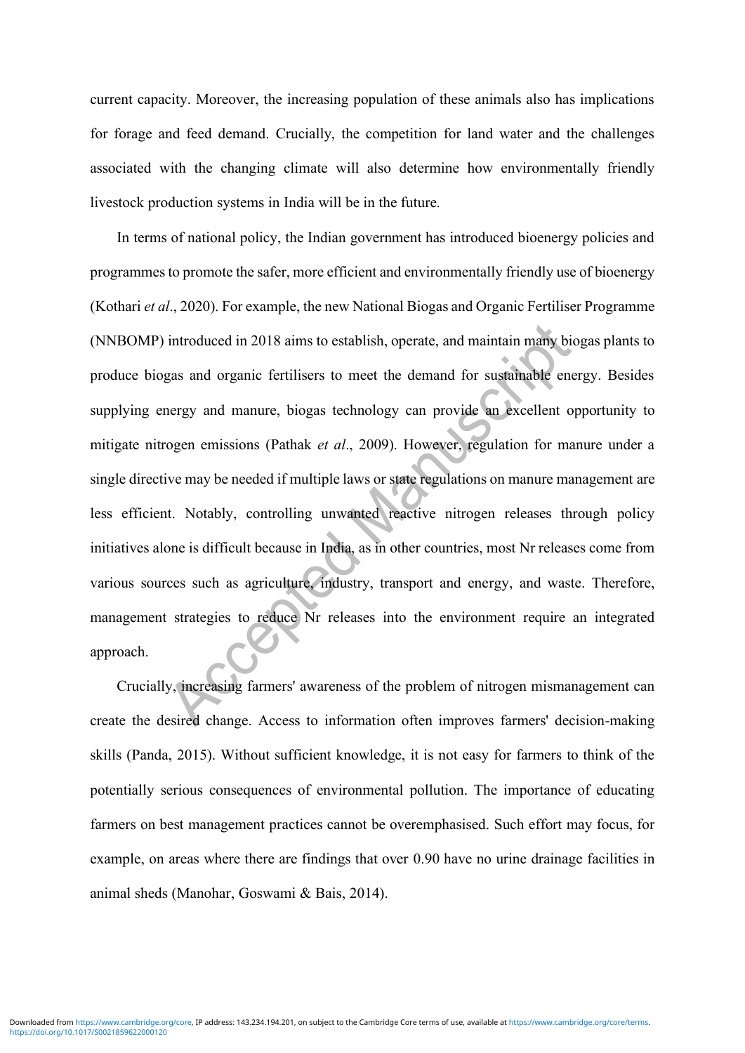current capacity. Moreover, the increasing population of these animals also has implications for forage and feed demand. Crucially, the competition for land water and the challenges associated with the changing climate will also determine how environmentally friendly livestock production systems in India will be in the future.

In terms of national policy, the Indian government has introduced bioenergy policies and programmes to promote the safer, more efficient and environmentally friendly use of bioenergy (Kothari *et al*., 2020). For example, the new National Biogas and Organic Fertiliser Programme (NNBOMP) introduced in 2018 aims to establish, operate, and maintain many biogas plants to produce biogas and organic fertilisers to meet the demand for sustainable energy. Besides supplying energy and manure, biogas technology can provide an excellent opportunity to mitigate nitrogen emissions (Pathak *et al*., 2009). However, regulation for manure under a single directive may be needed if multiple laws or state regulations on manure management are less efficient. Notably, controlling unwanted reactive nitrogen releases through policy initiatives alone is difficult because in India, as in other countries, most Nr releases come from various sources such as agriculture, industry, transport and energy, and waste. Therefore, management strategies to reduce Nr releases into the environment require an integrated approach.

Crucially, increasing farmers' awareness of the problem of nitrogen mismanagement can create the desired change. Access to information often improves farmers' decision-making skills (Panda, 2015). Without sufficient knowledge, it is not easy for farmers to think of the potentially serious consequences of environmental pollution. The importance of educating farmers on best management practices cannot be overemphasised. Such effort may focus, for example, on areas where there are findings that over 0.90 have no urine drainage facilities in animal sheds (Manohar, Goswami & Bais, 2014).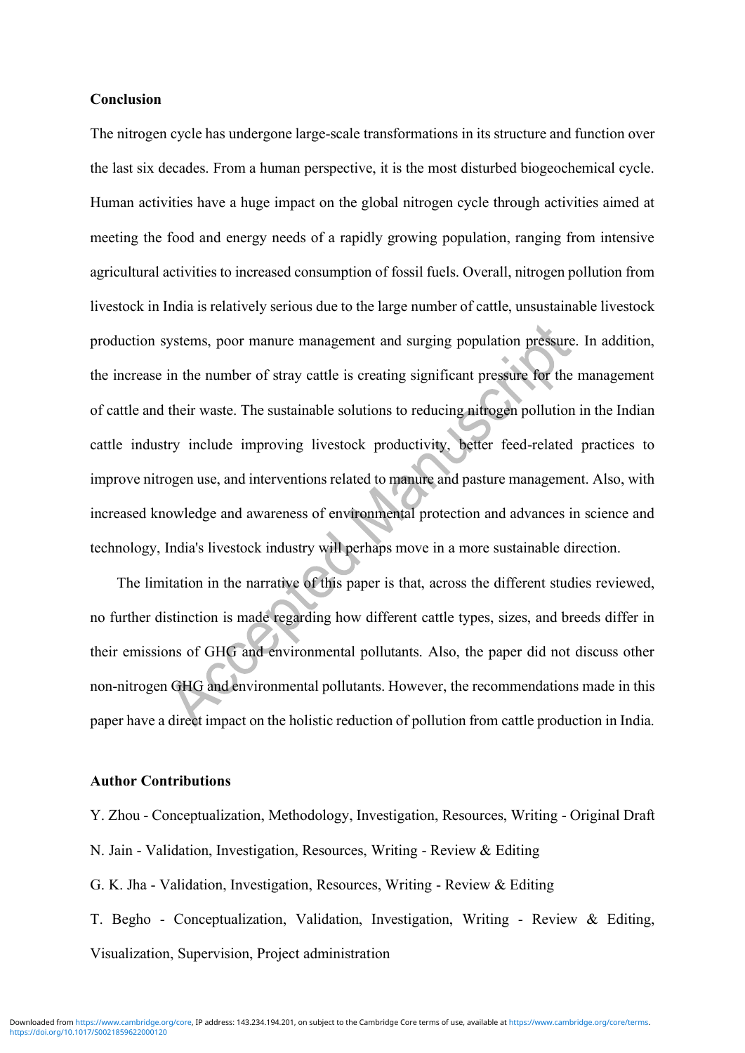#### **Conclusion**

The nitrogen cycle has undergone large-scale transformations in its structure and function over the last six decades. From a human perspective, it is the most disturbed biogeochemical cycle. Human activities have a huge impact on the global nitrogen cycle through activities aimed at meeting the food and energy needs of a rapidly growing population, ranging from intensive agricultural activities to increased consumption of fossil fuels. Overall, nitrogen pollution from livestock in India is relatively serious due to the large number of cattle, unsustainable livestock production systems, poor manure management and surging population pressure. In addition, the increase in the number of stray cattle is creating significant pressure for the management of cattle and their waste. The sustainable solutions to reducing nitrogen pollution in the Indian cattle industry include improving livestock productivity, better feed-related practices to improve nitrogen use, and interventions related to manure and pasture management. Also, with increased knowledge and awareness of environmental protection and advances in science and technology, India's livestock industry will perhaps move in a more sustainable direction.

The limitation in the narrative of this paper is that, across the different studies reviewed, no further distinction is made regarding how different cattle types, sizes, and breeds differ in their emissions of GHG and environmental pollutants. Also, the paper did not discuss other non-nitrogen GHG and environmental pollutants. However, the recommendations made in this paper have a direct impact on the holistic reduction of pollution from cattle production in India.

## **Author Contributions**

Y. Zhou - Conceptualization, Methodology, Investigation, Resources, Writing - Original Draft N. Jain - Validation, Investigation, Resources, Writing - Review & Editing G. K. Jha - Validation, Investigation, Resources, Writing - Review & Editing T. Begho - Conceptualization, Validation, Investigation, Writing - Review & Editing,

Visualization, Supervision, Project administration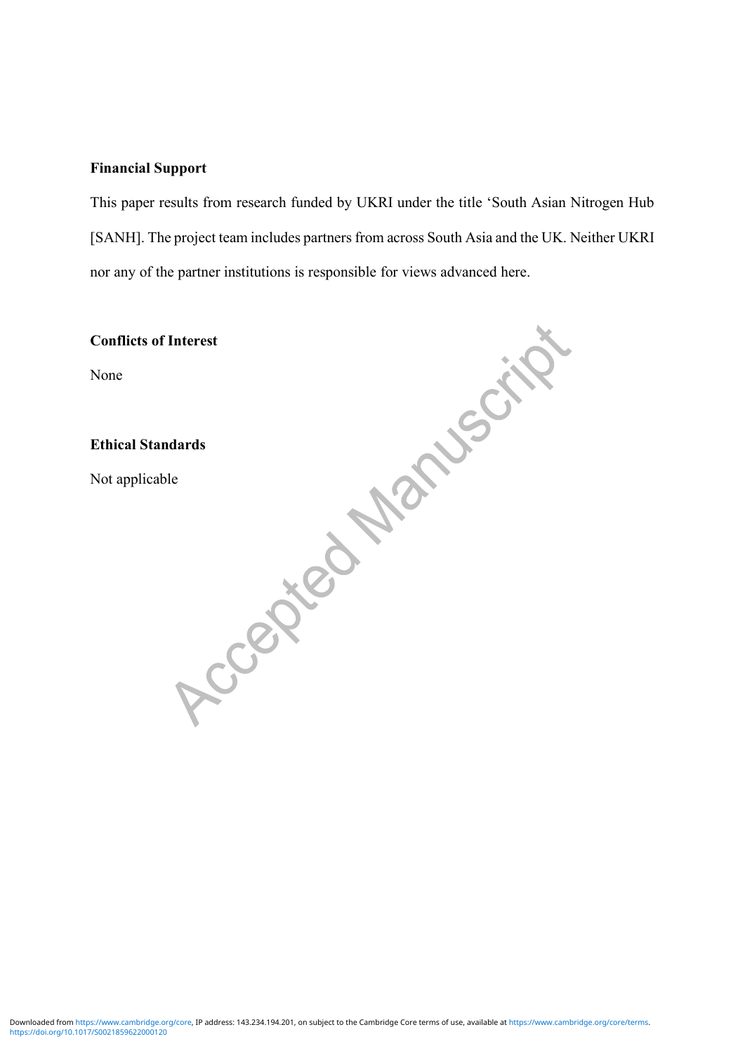# **Financial Support**

This paper results from research funded by UKRI under the title 'South Asian Nitrogen Hub [SANH]. The project team includes partners from across South Asia and the UK. Neither UKRI nor any of the partner institutions is responsible for views advanced here.

| <b>Conflicts of Interest</b> |
|------------------------------|
| None                         |
|                              |
| <b>Ethical Standards</b>     |
| Not applicable               |
|                              |
|                              |
|                              |
|                              |
|                              |
|                              |
|                              |
|                              |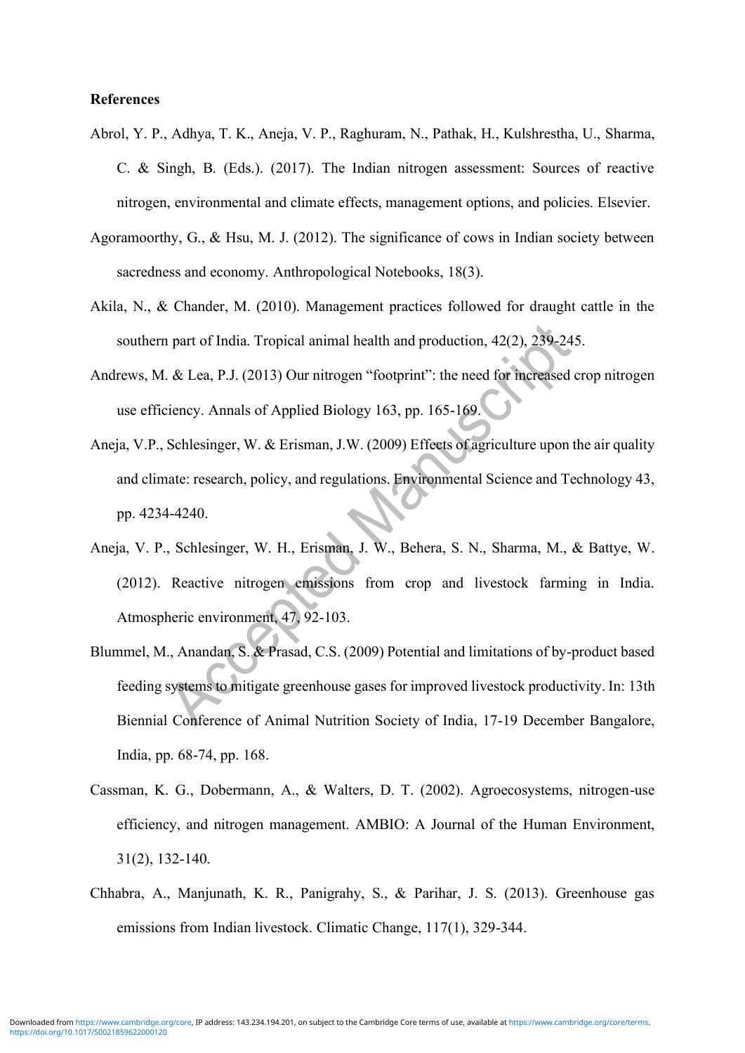#### **References**

- Abrol, Y. P., Adhya, T. K., Aneja, V. P., Raghuram, N., Pathak, H., Kulshrestha, U., Sharma, C. & Singh, B. (Eds.). (2017). The Indian nitrogen assessment: Sources of reactive nitrogen, environmental and climate effects, management options, and policies. Elsevier.
- Agoramoorthy, G., & Hsu, M. J. (2012). The significance of cows in Indian society between sacredness and economy. Anthropological Notebooks, 18(3).
- Akila, N., & Chander, M. (2010). Management practices followed for draught cattle in the southern part of India. Tropical animal health and production, 42(2), 239-245.
- Andrews, M. & Lea, P.J. (2013) Our nitrogen "footprint": the need for increased crop nitrogen use efficiency. Annals of Applied Biology 163, pp. 165-169.
- Aneja, V.P., Schlesinger, W. & Erisman, J.W. (2009) Effects of agriculture upon the air quality and climate: research, policy, and regulations. Environmental Science and Technology 43, pp. 4234-4240.
- Aneja, V. P., Schlesinger, W. H., Erisman, J. W., Behera, S. N., Sharma, M., & Battye, W. (2012). Reactive nitrogen emissions from crop and livestock farming in India. Atmospheric environment, 47, 92-103.
- Blummel, M., Anandan, S. & Prasad, C.S. (2009) Potential and limitations of by-product based feeding systems to mitigate greenhouse gases for improved livestock productivity. In: 13th Biennial Conference of Animal Nutrition Society of India, 17-19 December Bangalore, India, pp. 68-74, pp. 168.
- Cassman, K. G., Dobermann, A., & Walters, D. T. (2002). Agroecosystems, nitrogen-use efficiency, and nitrogen management. AMBIO: A Journal of the Human Environment, 31(2), 132-140.
- Chhabra, A., Manjunath, K. R., Panigrahy, S., & Parihar, J. S. (2013). Greenhouse gas emissions from Indian livestock. Climatic Change, 117(1), 329-344.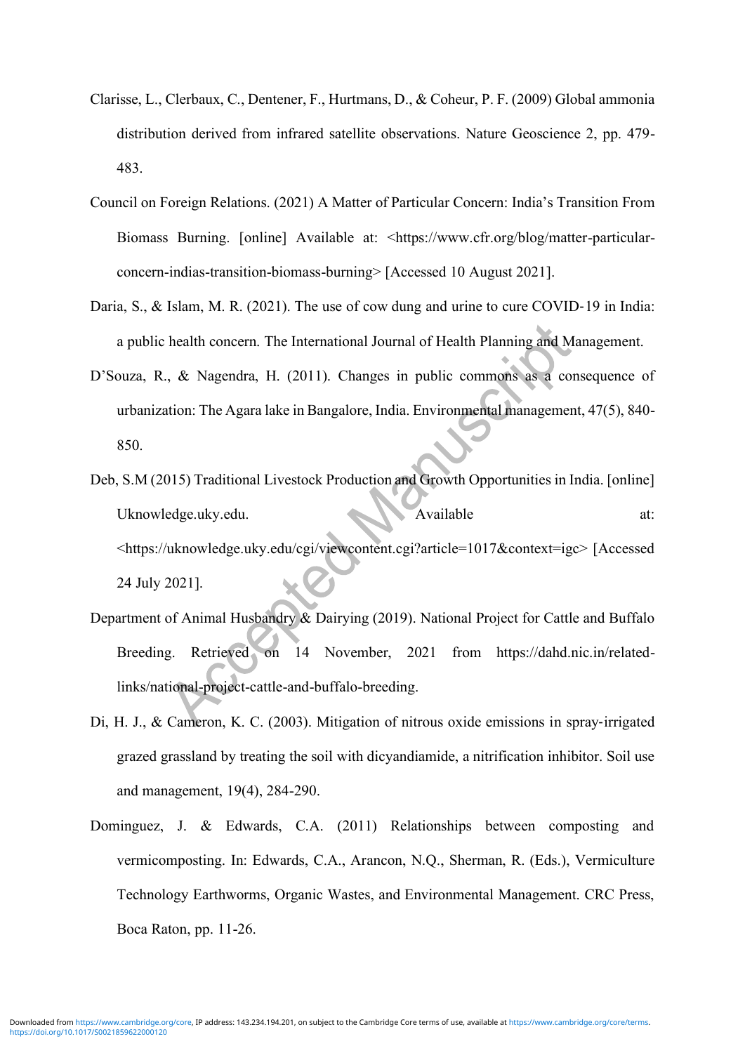- Clarisse, L., Clerbaux, C., Dentener, F., Hurtmans, D., & Coheur, P. F. (2009) Global ammonia distribution derived from infrared satellite observations. Nature Geoscience 2, pp. 479- 483.
- Council on Foreign Relations. (2021) A Matter of Particular Concern: India's Transition From Biomass Burning. [online] Available at: <https://www.cfr.org/blog/matter-particularconcern-indias-transition-biomass-burning> [Accessed 10 August 2021].
- Daria, S., & Islam, M. R. (2021). The use of cow dung and urine to cure COVID-19 in India: a public health concern. The International Journal of Health Planning and Management.
- D'Souza, R., & Nagendra, H. (2011). Changes in public commons as a consequence of urbanization: The Agara lake in Bangalore, India. Environmental management, 47(5), 840- 850.
- Deb, S.M (2015) Traditional Livestock Production and Growth Opportunities in India. [online] Uknowledge.uky.edu. Available at: <https://uknowledge.uky.edu/cgi/viewcontent.cgi?article=1017&context=igc> [Accessed 24 July 2021].
- Department of Animal Husbandry & Dairying (2019). National Project for Cattle and Buffalo Breeding. Retrieved on 14 November, 2021 from https://dahd.nic.in/relatedlinks/national-project-cattle-and-buffalo-breeding.
- Di, H. J., & Cameron, K. C. (2003). Mitigation of nitrous oxide emissions in spray‐irrigated grazed grassland by treating the soil with dicyandiamide, a nitrification inhibitor. Soil use and management, 19(4), 284-290.
- Dominguez, J. & Edwards, C.A. (2011) Relationships between composting and vermicomposting. In: Edwards, C.A., Arancon, N.Q., Sherman, R. (Eds.), Vermiculture Technology Earthworms, Organic Wastes, and Environmental Management. CRC Press, Boca Raton, pp. 11-26.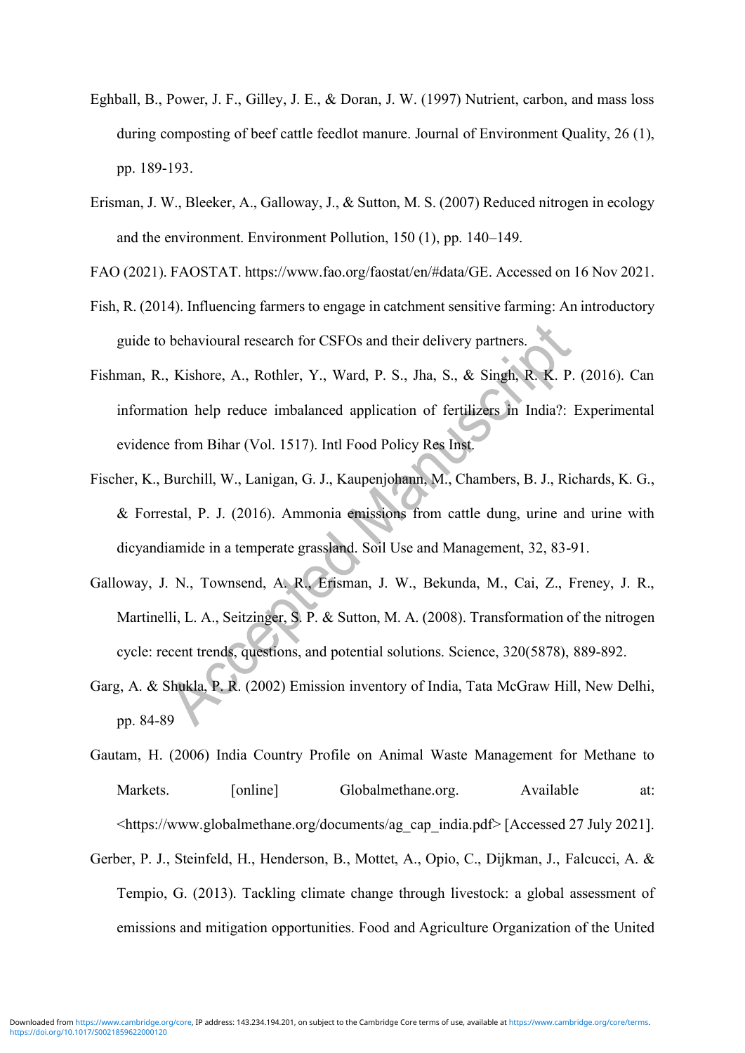- Eghball, B., Power, J. F., Gilley, J. E., & Doran, J. W. (1997) Nutrient, carbon, and mass loss during composting of beef cattle feedlot manure. Journal of Environment Quality, 26 (1), pp. 189-193.
- Erisman, J. W., Bleeker, A., Galloway, J., & Sutton, M. S. (2007) Reduced nitrogen in ecology and the environment. Environment Pollution, 150 (1), pp. 140–149.
- FAO (2021). FAOSTAT. https://www.fao.org/faostat/en/#data/GE. Accessed on 16 Nov 2021.
- Fish, R. (2014). Influencing farmers to engage in catchment sensitive farming: An introductory guide to behavioural research for CSFOs and their delivery partners.
- Fishman, R., Kishore, A., Rothler, Y., Ward, P. S., Jha, S., & Singh, R. K. P. (2016). Can information help reduce imbalanced application of fertilizers in India?: Experimental evidence from Bihar (Vol. 1517). Intl Food Policy Res Inst.
- Fischer, K., Burchill, W., Lanigan, G. J., Kaupenjohann, M., Chambers, B. J., Richards, K. G., & Forrestal, P. J. (2016). Ammonia emissions from cattle dung, urine and urine with dicyandiamide in a temperate grassland. Soil Use and Management, 32, 83-91.
- Galloway, J. N., Townsend, A. R., Erisman, J. W., Bekunda, M., Cai, Z., Freney, J. R., Martinelli, L. A., Seitzinger, S. P. & Sutton, M. A. (2008). Transformation of the nitrogen cycle: recent trends, questions, and potential solutions. Science, 320(5878), 889-892.
- Garg, A. & Shukla, P. R. (2002) Emission inventory of India, Tata McGraw Hill, New Delhi, pp. 84-89
- Gautam, H. (2006) India Country Profile on Animal Waste Management for Methane to Markets. [online] Globalmethane.org. Available at: <https://www.globalmethane.org/documents/ag\_cap\_india.pdf> [Accessed 27 July 2021].
- Gerber, P. J., Steinfeld, H., Henderson, B., Mottet, A., Opio, C., Dijkman, J., Falcucci, A. & Tempio, G. (2013). Tackling climate change through livestock: a global assessment of emissions and mitigation opportunities. Food and Agriculture Organization of the United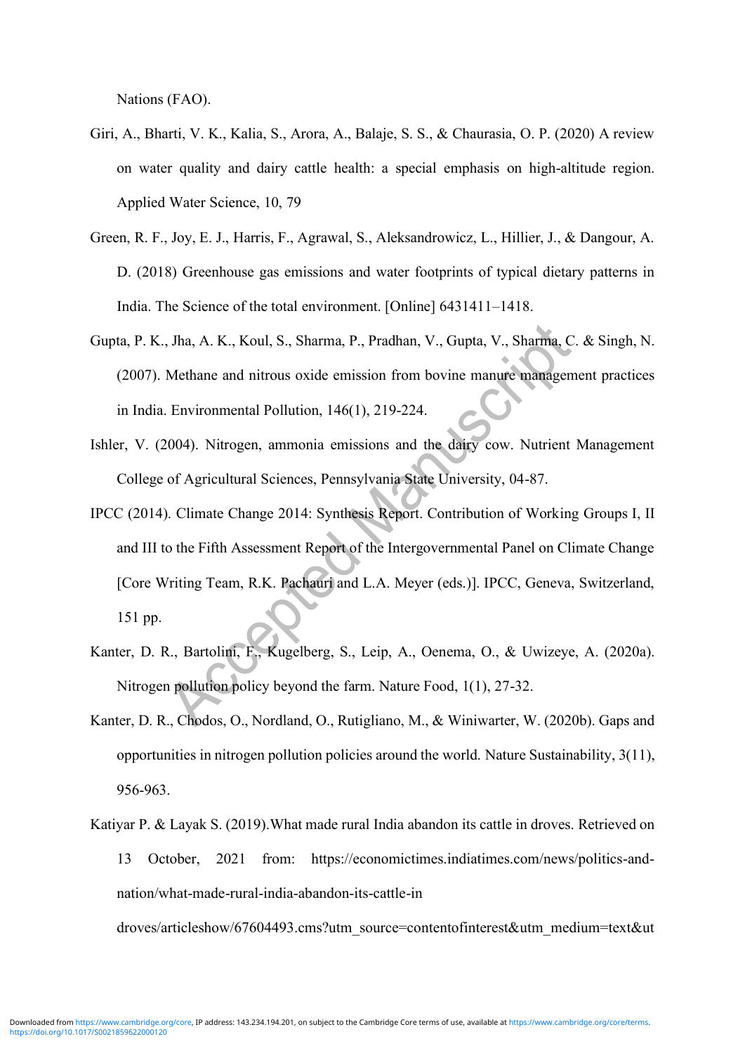Nations (FAO).

- Giri, A., Bharti, V. K., Kalia, S., Arora, A., Balaje, S. S., & Chaurasia, O. P. (2020) A review on water quality and dairy cattle health: a special emphasis on high-altitude region. Applied Water Science, 10, 79
- Green, R. F., Joy, E. J., Harris, F., Agrawal, S., Aleksandrowicz, L., Hillier, J., & Dangour, A. D. (2018) Greenhouse gas emissions and water footprints of typical dietary patterns in India. The Science of the total environment. [Online] 6431411–1418.
- Gupta, P. K., Jha, A. K., Koul, S., Sharma, P., Pradhan, V., Gupta, V., Sharma, C. & Singh, N. (2007). Methane and nitrous oxide emission from bovine manure management practices in India. Environmental Pollution, 146(1), 219-224.
- Ishler, V. (2004). Nitrogen, ammonia emissions and the dairy cow. Nutrient Management College of Agricultural Sciences, Pennsylvania State University, 04-87.
- IPCC (2014). Climate Change 2014: Synthesis Report. Contribution of Working Groups I, II and III to the Fifth Assessment Report of the Intergovernmental Panel on Climate Change [Core Writing Team, R.K. Pachauri and L.A. Meyer (eds.)]. IPCC, Geneva, Switzerland, 151 pp.
- Kanter, D. R., Bartolini, F., Kugelberg, S., Leip, A., Oenema, O., & Uwizeye, A. (2020a). Nitrogen pollution policy beyond the farm. Nature Food, 1(1), 27-32.
- Kanter, D. R., Chodos, O., Nordland, O., Rutigliano, M., & Winiwarter, W. (2020b). Gaps and opportunities in nitrogen pollution policies around the world. Nature Sustainability, 3(11), 956-963.
- Katiyar P. & Layak S. (2019).What made rural India abandon its cattle in droves. Retrieved on 13 October, 2021 from: https://economictimes.indiatimes.com/news/politics-andnation/what-made-rural-india-abandon-its-cattle-in

droves/articleshow/67604493.cms?utm\_source=contentofinterest&utm\_medium=text&ut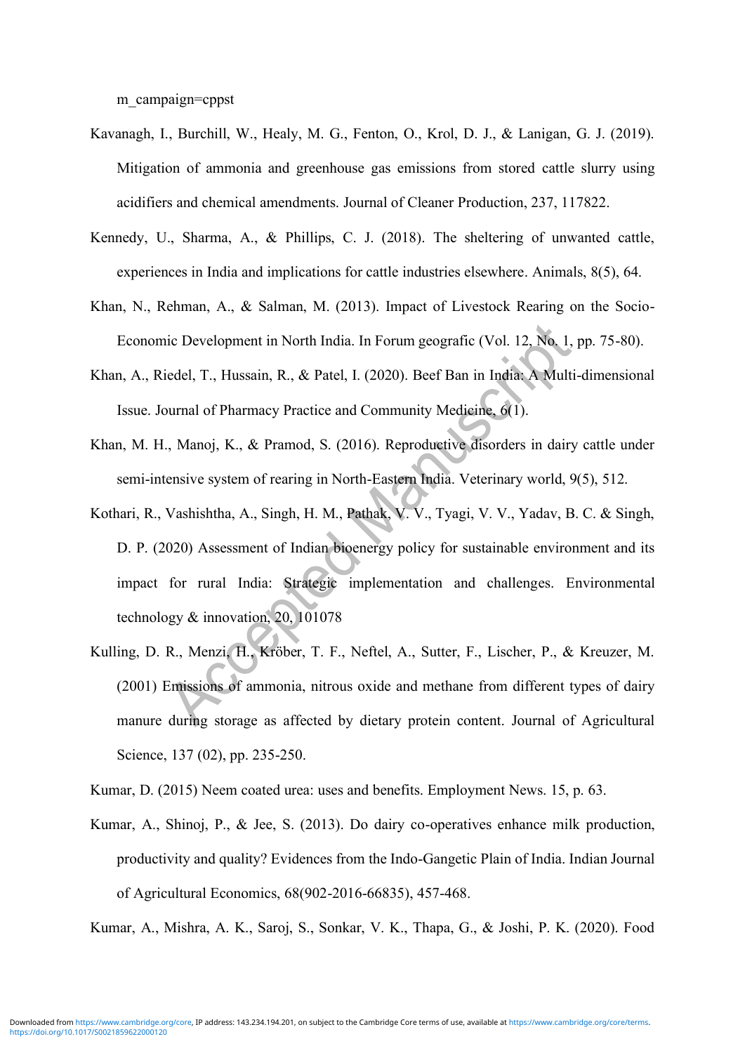m\_campaign=cppst

- Kavanagh, I., Burchill, W., Healy, M. G., Fenton, O., Krol, D. J., & Lanigan, G. J. (2019). Mitigation of ammonia and greenhouse gas emissions from stored cattle slurry using acidifiers and chemical amendments. Journal of Cleaner Production, 237, 117822.
- Kennedy, U., Sharma, A., & Phillips, C. J. (2018). The sheltering of unwanted cattle, experiences in India and implications for cattle industries elsewhere. Animals, 8(5), 64.
- Khan, N., Rehman, A., & Salman, M. (2013). Impact of Livestock Rearing on the Socio-Economic Development in North India. In Forum geografic (Vol. 12, No. 1, pp. 75-80).
- Khan, A., Riedel, T., Hussain, R., & Patel, I. (2020). Beef Ban in India: A Multi-dimensional Issue. Journal of Pharmacy Practice and Community Medicine, 6(1).
- Khan, M. H., Manoj, K., & Pramod, S. (2016). Reproductive disorders in dairy cattle under semi-intensive system of rearing in North-Eastern India. Veterinary world, 9(5), 512.
- Kothari, R., Vashishtha, A., Singh, H. M., Pathak, V. V., Tyagi, V. V., Yadav, B. C. & Singh, D. P. (2020) Assessment of Indian bioenergy policy for sustainable environment and its impact for rural India: Strategic implementation and challenges. Environmental technology  $&$  innovation, 20, 101078
- Kulling, D. R., Menzi, H., Kröber, T. F., Neftel, A., Sutter, F., Lischer, P., & Kreuzer, M. (2001) Emissions of ammonia, nitrous oxide and methane from different types of dairy manure during storage as affected by dietary protein content. Journal of Agricultural Science, 137 (02), pp. 235-250.
- Kumar, D. (2015) Neem coated urea: uses and benefits. Employment News. 15, p. 63.
- Kumar, A., Shinoj, P., & Jee, S. (2013). Do dairy co-operatives enhance milk production, productivity and quality? Evidences from the Indo-Gangetic Plain of India. Indian Journal of Agricultural Economics, 68(902-2016-66835), 457-468.

Kumar, A., Mishra, A. K., Saroj, S., Sonkar, V. K., Thapa, G., & Joshi, P. K. (2020). Food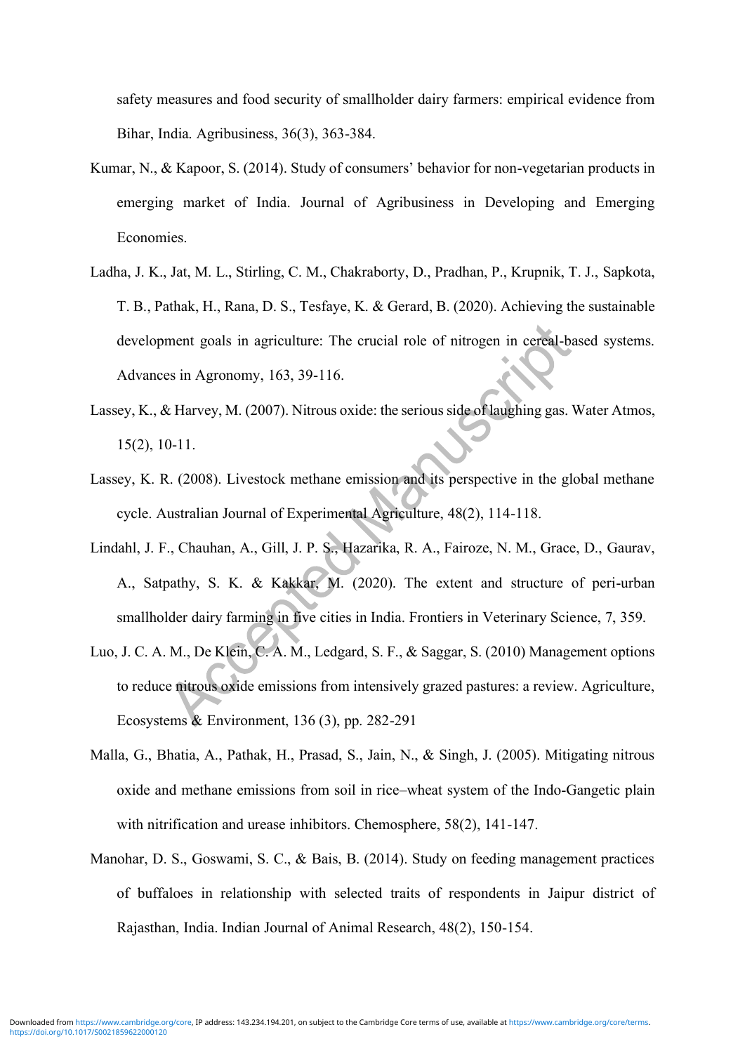safety measures and food security of smallholder dairy farmers: empirical evidence from Bihar, India. Agribusiness, 36(3), 363-384.

- Kumar, N., & Kapoor, S. (2014). Study of consumers' behavior for non-vegetarian products in emerging market of India. Journal of Agribusiness in Developing and Emerging Economies.
- Ladha, J. K., Jat, M. L., Stirling, C. M., Chakraborty, D., Pradhan, P., Krupnik, T. J., Sapkota, T. B., Pathak, H., Rana, D. S., Tesfaye, K. & Gerard, B. (2020). Achieving the sustainable development goals in agriculture: The crucial role of nitrogen in cereal-based systems. Advances in Agronomy, 163, 39-116.
- Lassey, K., & Harvey, M. (2007). Nitrous oxide: the serious side of laughing gas. Water Atmos, 15(2), 10-11.
- Lassey, K. R. (2008). Livestock methane emission and its perspective in the global methane cycle. Australian Journal of Experimental Agriculture, 48(2), 114-118.
- Lindahl, J. F., Chauhan, A., Gill, J. P. S., Hazarika, R. A., Fairoze, N. M., Grace, D., Gaurav, A., Satpathy, S. K. & Kakkar, M. (2020). The extent and structure of peri-urban smallholder dairy farming in five cities in India. Frontiers in Veterinary Science, 7, 359.
- Luo, J. C. A. M., De Klein, C. A. M., Ledgard, S. F., & Saggar, S. (2010) Management options to reduce nitrous oxide emissions from intensively grazed pastures: a review. Agriculture, Ecosystems & Environment, 136 (3), pp. 282-291
- Malla, G., Bhatia, A., Pathak, H., Prasad, S., Jain, N., & Singh, J. (2005). Mitigating nitrous oxide and methane emissions from soil in rice–wheat system of the Indo-Gangetic plain with nitrification and urease inhibitors. Chemosphere, 58(2), 141-147.
- Manohar, D. S., Goswami, S. C., & Bais, B. (2014). Study on feeding management practices of buffaloes in relationship with selected traits of respondents in Jaipur district of Rajasthan, India. Indian Journal of Animal Research, 48(2), 150-154.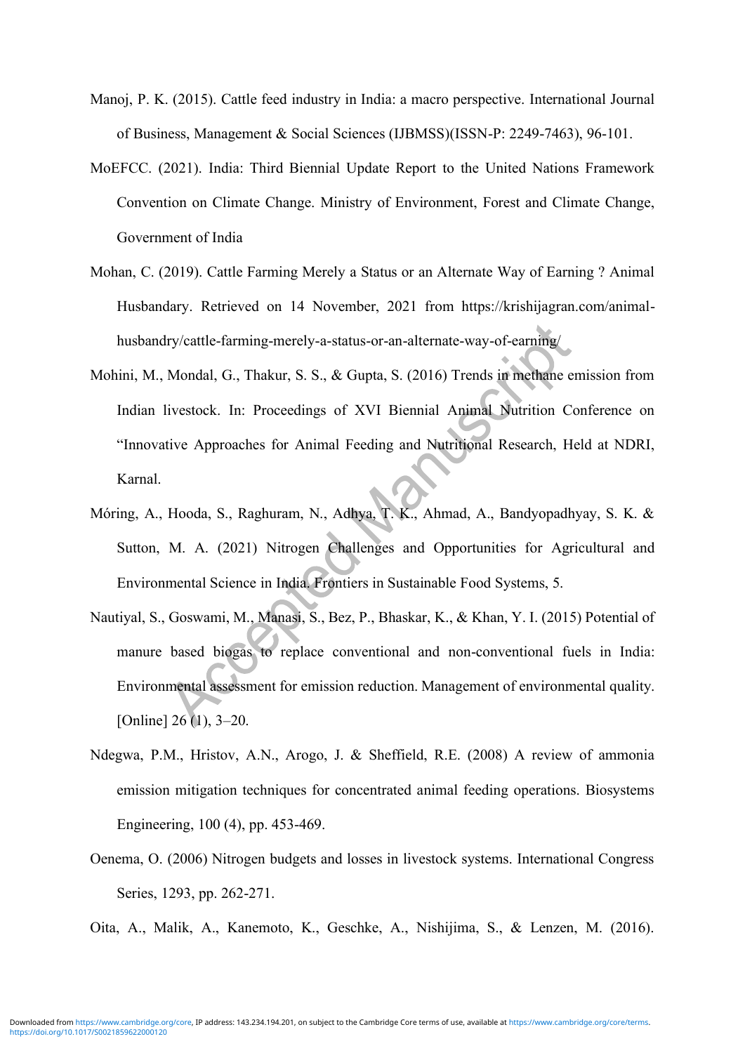- Manoj, P. K. (2015). Cattle feed industry in India: a macro perspective. International Journal of Business, Management & Social Sciences (IJBMSS)(ISSN-P: 2249-7463), 96-101.
- MoEFCC. (2021). India: Third Biennial Update Report to the United Nations Framework Convention on Climate Change. Ministry of Environment, Forest and Climate Change, Government of India
- Mohan, C. (2019). Cattle Farming Merely a Status or an Alternate Way of Earning ? Animal Husbandary. Retrieved on 14 November, 2021 from https://krishijagran.com/animalhusbandry/cattle-farming-merely-a-status-or-an-alternate-way-of-earning/
- Mohini, M., Mondal, G., Thakur, S. S., & Gupta, S. (2016) Trends in methane emission from Indian livestock. In: Proceedings of XVI Biennial Animal Nutrition Conference on "Innovative Approaches for Animal Feeding and Nutritional Research, Held at NDRI, Karnal.
- Móring, A., Hooda, S., Raghuram, N., Adhya, T. K., Ahmad, A., Bandyopadhyay, S. K. & Sutton, M. A. (2021) Nitrogen Challenges and Opportunities for Agricultural and Environmental Science in India. Frontiers in Sustainable Food Systems, 5.
- Nautiyal, S., Goswami, M., Manasi, S., Bez, P., Bhaskar, K., & Khan, Y. I. (2015) Potential of manure based biogas to replace conventional and non-conventional fuels in India: Environmental assessment for emission reduction. Management of environmental quality. [Online] 26 (1), 3–20.
- Ndegwa, P.M., Hristov, A.N., Arogo, J. & Sheffield, R.E. (2008) A review of ammonia emission mitigation techniques for concentrated animal feeding operations. Biosystems Engineering, 100 (4), pp. 453-469.
- Oenema, O. (2006) Nitrogen budgets and losses in livestock systems. International Congress Series, 1293, pp. 262-271.
- Oita, A., Malik, A., Kanemoto, K., Geschke, A., Nishijima, S., & Lenzen, M. (2016).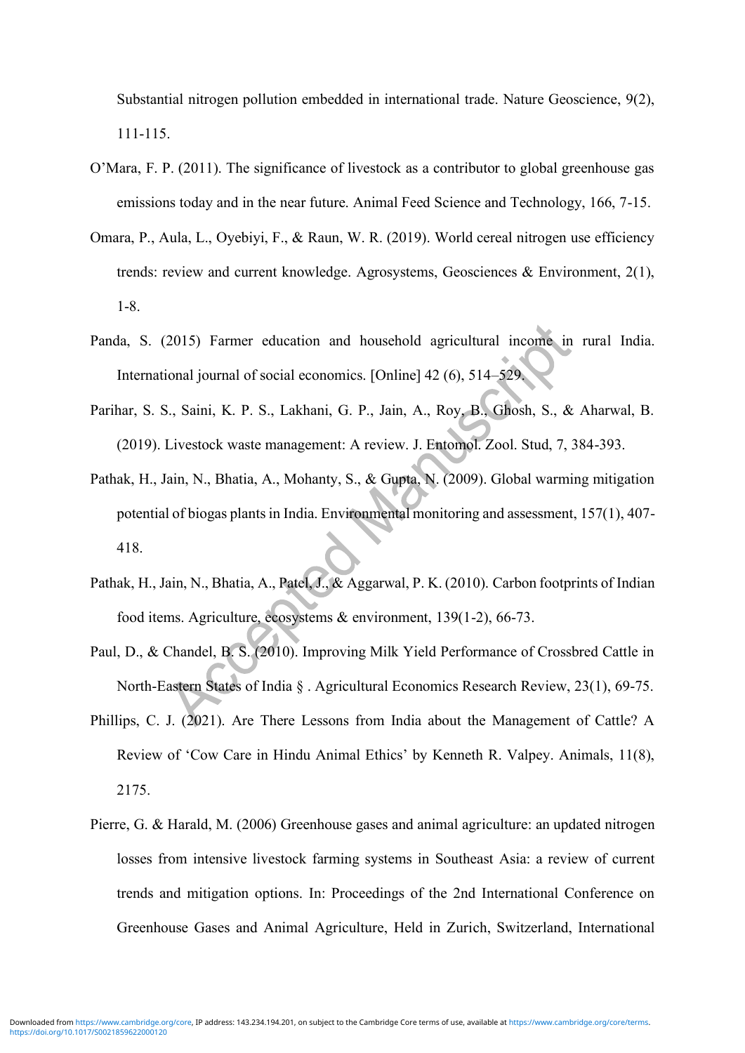Substantial nitrogen pollution embedded in international trade. Nature Geoscience, 9(2), 111-115.

- O'Mara, F. P. (2011). The significance of livestock as a contributor to global greenhouse gas emissions today and in the near future. Animal Feed Science and Technology, 166, 7-15.
- Omara, P., Aula, L., Oyebiyi, F., & Raun, W. R. (2019). World cereal nitrogen use efficiency trends: review and current knowledge. Agrosystems, Geosciences & Environment, 2(1), 1-8.
- Panda, S. (2015) Farmer education and household agricultural income in rural India. International journal of social economics. [Online] 42 (6), 514–529.
- Parihar, S. S., Saini, K. P. S., Lakhani, G. P., Jain, A., Roy, B., Ghosh, S., & Aharwal, B. (2019). Livestock waste management: A review. J. Entomol. Zool. Stud, 7, 384-393.
- Pathak, H., Jain, N., Bhatia, A., Mohanty, S., & Gupta, N. (2009). Global warming mitigation potential of biogas plants in India. Environmental monitoring and assessment, 157(1), 407- 418.
- Pathak, H., Jain, N., Bhatia, A., Patel, J., & Aggarwal, P. K. (2010). Carbon footprints of Indian food items. Agriculture, ecosystems & environment, 139(1-2), 66-73.
- Paul, D., & Chandel, B. S. (2010). Improving Milk Yield Performance of Crossbred Cattle in North-Eastern States of India § . Agricultural Economics Research Review, 23(1), 69-75.
- Phillips, C. J. (2021). Are There Lessons from India about the Management of Cattle? A Review of 'Cow Care in Hindu Animal Ethics' by Kenneth R. Valpey. Animals, 11(8), 2175.
- Pierre, G. & Harald, M. (2006) Greenhouse gases and animal agriculture: an updated nitrogen losses from intensive livestock farming systems in Southeast Asia: a review of current trends and mitigation options. In: Proceedings of the 2nd International Conference on Greenhouse Gases and Animal Agriculture, Held in Zurich, Switzerland, International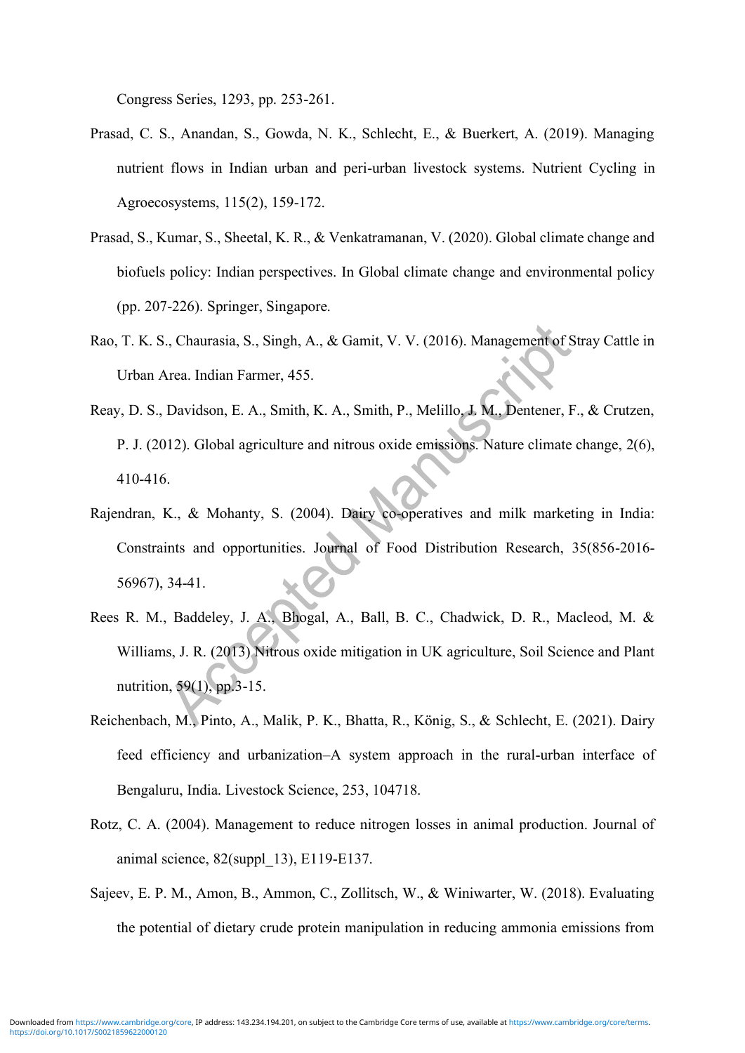Congress Series, 1293, pp. 253-261.

- Prasad, C. S., Anandan, S., Gowda, N. K., Schlecht, E., & Buerkert, A. (2019). Managing nutrient flows in Indian urban and peri-urban livestock systems. Nutrient Cycling in Agroecosystems, 115(2), 159-172.
- Prasad, S., Kumar, S., Sheetal, K. R., & Venkatramanan, V. (2020). Global climate change and biofuels policy: Indian perspectives. In Global climate change and environmental policy (pp. 207-226). Springer, Singapore.
- Rao, T. K. S., Chaurasia, S., Singh, A., & Gamit, V. V. (2016). Management of Stray Cattle in Urban Area. Indian Farmer, 455.
- Reay, D. S., Davidson, E. A., Smith, K. A., Smith, P., Melillo, J. M., Dentener, F., & Crutzen, P. J. (2012). Global agriculture and nitrous oxide emissions. Nature climate change, 2(6), 410-416.
- Rajendran, K., & Mohanty, S. (2004). Dairy co-operatives and milk marketing in India: Constraints and opportunities. Journal of Food Distribution Research, 35(856-2016- 56967), 34-41.
- Rees R. M., Baddeley, J. A., Bhogal, A., Ball, B. C., Chadwick, D. R., Macleod, M. & Williams, J. R. (2013) Nitrous oxide mitigation in UK agriculture, Soil Science and Plant nutrition, 59(1), pp.3-15.
- Reichenbach, M., Pinto, A., Malik, P. K., Bhatta, R., König, S., & Schlecht, E. (2021). Dairy feed efficiency and urbanization–A system approach in the rural-urban interface of Bengaluru, India. Livestock Science, 253, 104718.
- Rotz, C. A. (2004). Management to reduce nitrogen losses in animal production. Journal of animal science, 82(suppl\_13), E119-E137.
- Sajeev, E. P. M., Amon, B., Ammon, C., Zollitsch, W., & Winiwarter, W. (2018). Evaluating the potential of dietary crude protein manipulation in reducing ammonia emissions from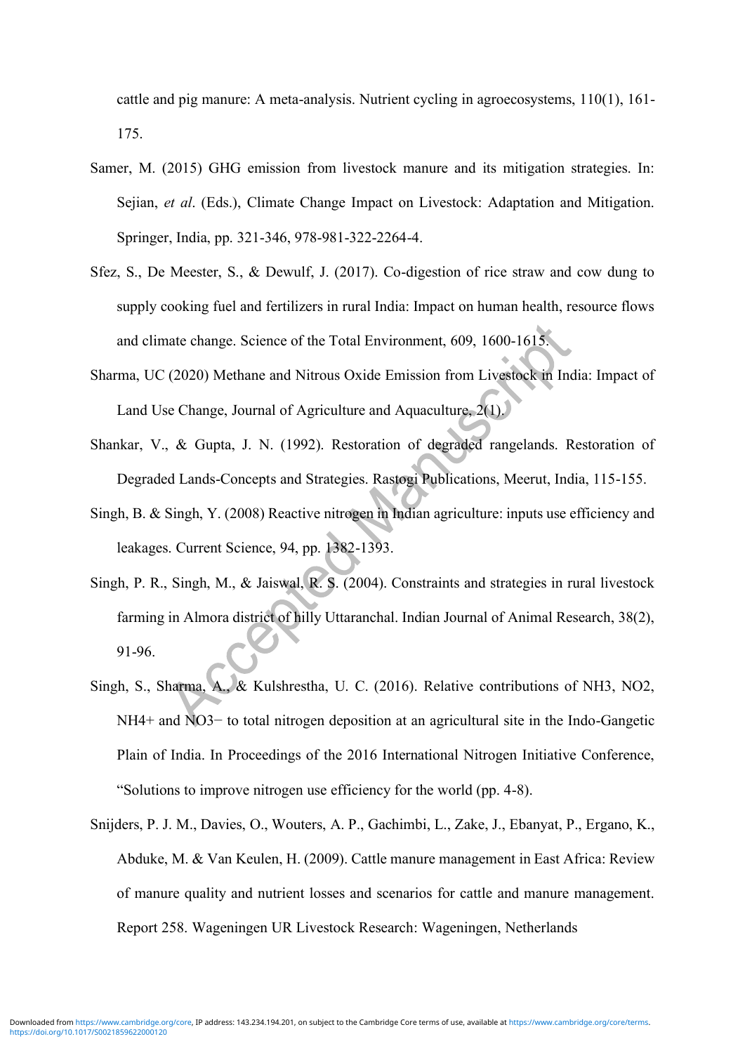cattle and pig manure: A meta-analysis. Nutrient cycling in agroecosystems, 110(1), 161- 175.

- Samer, M. (2015) GHG emission from livestock manure and its mitigation strategies. In: Sejian, *et al*. (Eds.), Climate Change Impact on Livestock: Adaptation and Mitigation. Springer, India, pp. 321-346, 978-981-322-2264-4.
- Sfez, S., De Meester, S., & Dewulf, J. (2017). Co-digestion of rice straw and cow dung to supply cooking fuel and fertilizers in rural India: Impact on human health, resource flows and climate change. Science of the Total Environment, 609, 1600-1615.
- Sharma, UC (2020) Methane and Nitrous Oxide Emission from Livestock in India: Impact of Land Use Change, Journal of Agriculture and Aquaculture, 2(1).
- Shankar, V., & Gupta, J. N. (1992). Restoration of degraded rangelands. Restoration of Degraded Lands-Concepts and Strategies. Rastogi Publications, Meerut, India, 115-155.
- Singh, B. & Singh, Y. (2008) Reactive nitrogen in Indian agriculture: inputs use efficiency and leakages. Current Science, 94, pp. 1382-1393.
- Singh, P. R., Singh, M., & Jaiswal, R. S. (2004). Constraints and strategies in rural livestock farming in Almora district of hilly Uttaranchal. Indian Journal of Animal Research, 38(2), 91-96.
- Singh, S., Sharma, A., & Kulshrestha, U. C. (2016). Relative contributions of NH3, NO2, NH4+ and NO3− to total nitrogen deposition at an agricultural site in the Indo-Gangetic Plain of India. In Proceedings of the 2016 International Nitrogen Initiative Conference, "Solutions to improve nitrogen use efficiency for the world (pp. 4-8).
- Snijders, P. J. M., Davies, O., Wouters, A. P., Gachimbi, L., Zake, J., Ebanyat, P., Ergano, K., Abduke, M. & Van Keulen, H. (2009). Cattle manure management in East Africa: Review of manure quality and nutrient losses and scenarios for cattle and manure management. Report 258. Wageningen UR Livestock Research: Wageningen, Netherlands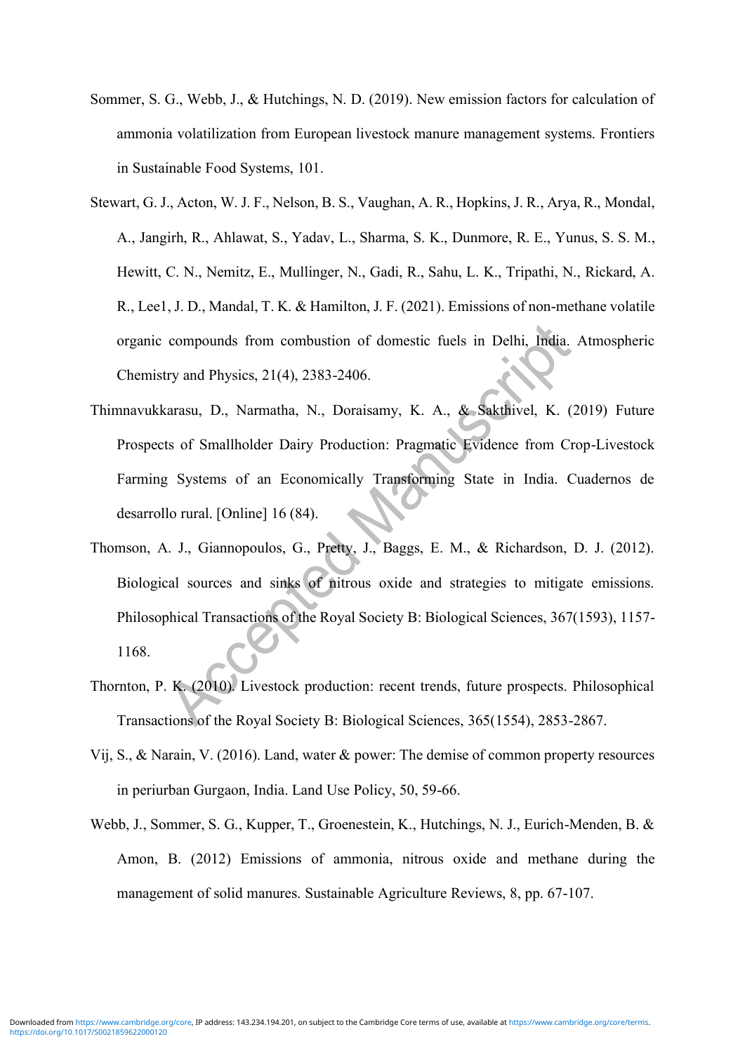- Sommer, S. G., Webb, J., & Hutchings, N. D. (2019). New emission factors for calculation of ammonia volatilization from European livestock manure management systems. Frontiers in Sustainable Food Systems, 101.
- Stewart, G. J., Acton, W. J. F., Nelson, B. S., Vaughan, A. R., Hopkins, J. R., Arya, R., Mondal, A., Jangirh, R., Ahlawat, S., Yadav, L., Sharma, S. K., Dunmore, R. E., Yunus, S. S. M., Hewitt, C. N., Nemitz, E., Mullinger, N., Gadi, R., Sahu, L. K., Tripathi, N., Rickard, A. R., Lee1, J. D., Mandal, T. K. & Hamilton, J. F. (2021). Emissions of non-methane volatile organic compounds from combustion of domestic fuels in Delhi, India. Atmospheric Chemistry and Physics, 21(4), 2383-2406.
- Thimnavukkarasu, D., Narmatha, N., Doraisamy, K. A., & Sakthivel, K. (2019) Future Prospects of Smallholder Dairy Production: Pragmatic Evidence from Crop-Livestock Farming Systems of an Economically Transforming State in India. Cuadernos de desarrollo rural. [Online] 16 (84).
- Thomson, A. J., Giannopoulos, G., Pretty, J., Baggs, E. M., & Richardson, D. J. (2012). Biological sources and sinks of nitrous oxide and strategies to mitigate emissions. Philosophical Transactions of the Royal Society B: Biological Sciences, 367(1593), 1157- 1168.
- Thornton, P. K. (2010). Livestock production: recent trends, future prospects. Philosophical Transactions of the Royal Society B: Biological Sciences, 365(1554), 2853-2867.
- Vij, S., & Narain, V. (2016). Land, water & power: The demise of common property resources in periurban Gurgaon, India. Land Use Policy, 50, 59-66.
- Webb, J., Sommer, S. G., Kupper, T., Groenestein, K., Hutchings, N. J., Eurich-Menden, B. & Amon, B. (2012) Emissions of ammonia, nitrous oxide and methane during the management of solid manures. Sustainable Agriculture Reviews, 8, pp. 67-107.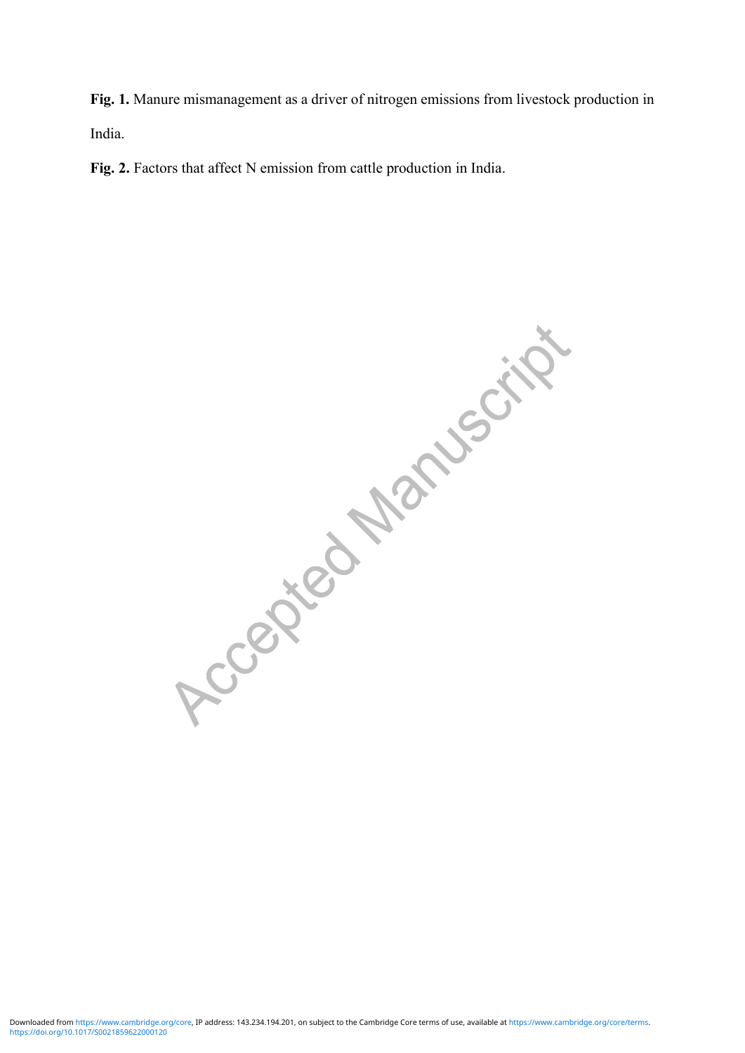**Fig. 1.** Manure mismanagement as a driver of nitrogen emissions from livestock production in India.

**Fig. 2.** Factors that affect N emission from cattle production in India.

Accepted Manuscript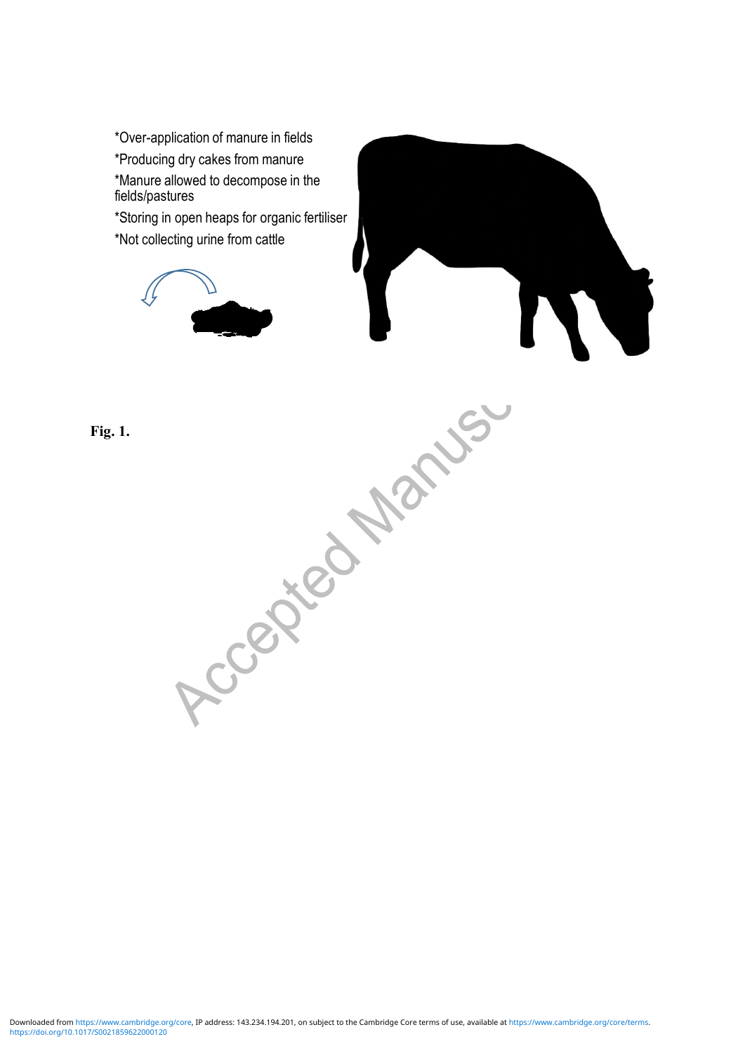\*Over-application of manure in fields \*Producing dry cakes from manure \*Manure allowed to decompose in the fields/pastures \*Storing in open heaps for organic fertiliser \*Not collecting urine from cattle

Accepted Marys.

**Fig. 1.**